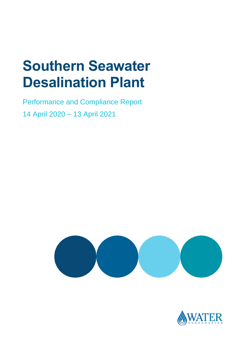# **Southern Seawater Desalination Plant**

Performance and Compliance Report 14 April 2020 – 13 April 2021



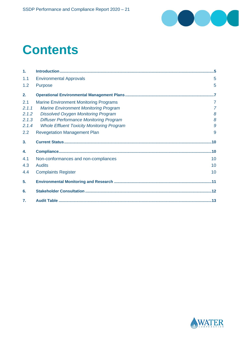

# **Contents**

| 1.             |                                                   |                |
|----------------|---------------------------------------------------|----------------|
| 1.1            | <b>Environmental Approvals</b>                    | 5              |
| 1.2            | <b>Purpose</b>                                    | 5              |
| 2.             |                                                   |                |
| 2.1            | <b>Marine Environment Monitoring Programs</b>     | $\overline{7}$ |
| 2.1.1          | <b>Marine Environment Monitoring Program</b>      | $\overline{7}$ |
| 2.1.2          | <b>Dissolved Oxygen Monitoring Program</b>        | 8              |
| 2.1.3          | <b>Diffuser Performance Monitoring Program</b>    | 8              |
| 2.1.4          | <b>Whole Effluent Toxicity Monitoring Program</b> | $\mathcal{G}$  |
| 2.2            | <b>Revegetation Management Plan</b>               | 9              |
| 3 <sub>1</sub> |                                                   |                |
| 4.             |                                                   |                |
| 4.1            | Non-conformances and non-compliances              | 10             |
| 4.3            | <b>Audits</b>                                     | 10             |
| 4.4            | <b>Complaints Register</b>                        | 10             |
| 5.             |                                                   |                |
| 6.             |                                                   |                |
| 7.             |                                                   |                |

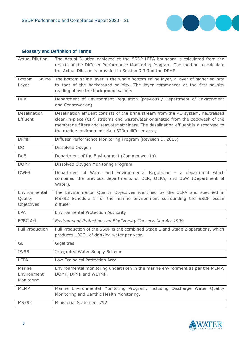

### **Glossary and Definition of Terms**

| <b>Actual Dilution</b>                 | The Actual Dilution achieved at the SSDP LEPA boundary is calculated from the<br>results of the Diffuser Performance Monitoring Program. The method to calculate<br>the Actual Dilution is provided in Section 3.3.3 of the DPMP.                                                                                 |
|----------------------------------------|-------------------------------------------------------------------------------------------------------------------------------------------------------------------------------------------------------------------------------------------------------------------------------------------------------------------|
| Saline<br><b>Bottom</b><br>Layer       | The bottom saline layer is the whole bottom saline layer, a layer of higher salinity<br>to that of the background salinity. The layer commences at the first salinity<br>reading above the background salinity.                                                                                                   |
| <b>DER</b>                             | Department of Environment Regulation (previously Department of Environment<br>and Conservation)                                                                                                                                                                                                                   |
| Desalination<br>Effluent               | Desalination effluent consists of the brine stream from the RO system, neutralised<br>clean-in-place (CIP) streams and wastewater originated from the backwash of the<br>membrane filters and seawater strainers. The desalination effluent is discharged to<br>the marine environment via a 320m diffuser array. |
| <b>DPMP</b>                            | Diffuser Performance Monitoring Program (Revision D, 2015)                                                                                                                                                                                                                                                        |
| <b>DO</b>                              | Dissolved Oxygen                                                                                                                                                                                                                                                                                                  |
| <b>DoE</b>                             | Department of the Environment (Commonwealth)                                                                                                                                                                                                                                                                      |
| <b>DOMP</b>                            | Dissolved Oxygen Monitoring Program                                                                                                                                                                                                                                                                               |
| <b>DWER</b>                            | Department of Water and Environmental Regulation - a department which<br>combined the previous departments of DER, OEPA, and DoW (Department of<br>Water).                                                                                                                                                        |
| Environmental<br>Quality<br>Objectives | The Environmental Quality Objectives identified by the OEPA and specified in<br>MS792 Schedule 1 for the marine environment surrounding the SSDP ocean<br>diffuser.                                                                                                                                               |
| <b>EPA</b>                             | <b>Environmental Protection Authority</b>                                                                                                                                                                                                                                                                         |
| <b>EPBC Act</b>                        | Environment Protection and Biodiversity Conservation Act 1999                                                                                                                                                                                                                                                     |
| <b>Full Production</b>                 | Full Production of the SSDP is the combined Stage 1 and Stage 2 operations, which<br>produces 100GL of drinking water per year.                                                                                                                                                                                   |
| GL                                     | Gigalitres                                                                                                                                                                                                                                                                                                        |
| <b>IWSS</b>                            | Integrated Water Supply Scheme                                                                                                                                                                                                                                                                                    |
| <b>LEPA</b>                            | Low Ecological Protection Area                                                                                                                                                                                                                                                                                    |
| Marine<br>Environment<br>Monitoring    | Environmental monitoring undertaken in the marine environment as per the MEMP,<br>DOMP, DPMP and WETMP.                                                                                                                                                                                                           |
| <b>MEMP</b>                            | Marine Environmental Monitoring Program, including Discharge Water Quality<br>Monitoring and Benthic Health Monitoring.                                                                                                                                                                                           |
| <b>MS792</b>                           | Ministerial Statement 792                                                                                                                                                                                                                                                                                         |

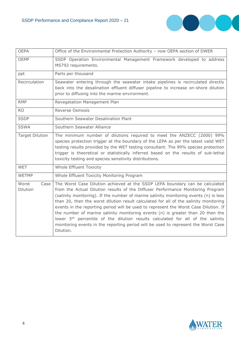

| <b>OEPA</b>               | Office of the Environmental Protection Authority - now OEPA section of DWER                                                                                                                                                                                                                                                                                                                                                                                                                                                                                                                                                                                                                                                    |
|---------------------------|--------------------------------------------------------------------------------------------------------------------------------------------------------------------------------------------------------------------------------------------------------------------------------------------------------------------------------------------------------------------------------------------------------------------------------------------------------------------------------------------------------------------------------------------------------------------------------------------------------------------------------------------------------------------------------------------------------------------------------|
| <b>OEMF</b>               | SSDP Operation Environmental Management Framework developed to address<br>MS792 requirements.                                                                                                                                                                                                                                                                                                                                                                                                                                                                                                                                                                                                                                  |
| ppt                       | Parts per thousand                                                                                                                                                                                                                                                                                                                                                                                                                                                                                                                                                                                                                                                                                                             |
| Recirculation             | Seawater entering through the seawater intake pipelines is recirculated directly<br>back into the desalination effluent diffuser pipeline to increase on-shore dilution<br>prior to diffusing into the marine environment.                                                                                                                                                                                                                                                                                                                                                                                                                                                                                                     |
| <b>RMP</b>                | Revegetation Management Plan                                                                                                                                                                                                                                                                                                                                                                                                                                                                                                                                                                                                                                                                                                   |
| <b>RO</b>                 | <b>Reverse Osmosis</b>                                                                                                                                                                                                                                                                                                                                                                                                                                                                                                                                                                                                                                                                                                         |
| <b>SSDP</b>               | Southern Seawater Desalination Plant                                                                                                                                                                                                                                                                                                                                                                                                                                                                                                                                                                                                                                                                                           |
| <b>SSWA</b>               | Southern Seawater Alliance                                                                                                                                                                                                                                                                                                                                                                                                                                                                                                                                                                                                                                                                                                     |
| <b>Target Dilution</b>    | The minimum number of dilutions required to meet the ANZECC (2000) 99%<br>species protection trigger at the boundary of the LEPA as per the latest valid WET<br>testing results provided by the WET testing consultant. The 99% species protection<br>trigger is theoretical or statistically inferred based on the results of sub-lethal<br>toxicity testing and species sensitivity distributions.                                                                                                                                                                                                                                                                                                                           |
| <b>WET</b>                | Whole Effluent Toxicity                                                                                                                                                                                                                                                                                                                                                                                                                                                                                                                                                                                                                                                                                                        |
| <b>WETMP</b>              | Whole Effluent Toxicity Monitoring Program                                                                                                                                                                                                                                                                                                                                                                                                                                                                                                                                                                                                                                                                                     |
| Worst<br>Case<br>Dilution | The Worst Case Dilution achieved at the SSDP LEPA boundary can be calculated<br>from the Actual Dilution results of the Diffuser Performance Monitoring Program<br>(salinity monitoring). If the number of marine salinity monitoring events (n) is less<br>than 20, then the worst dilution result calculated for all of the salinity monitoring<br>events in the reporting period will be used to represent the Worst Case Dilution. If<br>the number of marine salinity monitoring events (n) is greater than 20 then the<br>lower 5 <sup>th</sup> percentile of the dilution results calculated for all of the salinity<br>monitoring events in the reporting period will be used to represent the Worst Case<br>Dilution. |

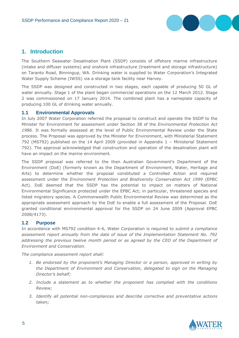

# <span id="page-4-0"></span>**1. Introduction**

The Southern Seawater Desalination Plant (SSDP) consists of offshore marine infrastructure (intake and diffuser systems) and onshore infrastructure (treatment and storage infrastructure) on Taranto Road, Binningup, WA. Drinking water is supplied to Water Corporation's Integrated Water Supply Scheme (IWSS) via a storage tank facility near Harvey.

The SSDP was designed and constructed in two stages, each capable of producing 50 GL of water annually. Stage 1 of the plant began commercial operations on the 12 March 2012. Stage 2 was commissioned on 17 January 2014. The combined plant has a nameplate capacity of producing 100 GL of drinking water annually.

#### <span id="page-4-1"></span>**1.1 Environmental Approvals**

In July 2007 Water Corporation referred the proposal to construct and operate the SSDP to the Minister for Environment for assessment under Section 38 of the *Environmental Protection Act 1986*. It was formally assessed at the level of Public Environmental Review under the State process. The Proposal was approved by the Minister for Environment, with Ministerial Statement 792 (MS792) published on the 14 April 2009 (provided in Appendix 1 – Ministerial Statement 792). The approval acknowledged that construction and operation of the desalination plant will have an impact on the marine environment.

The SSDP proposal was referred to the then Australian Government's Department of the Environment (DoE) (formerly known as the Department of Environment, Water, Heritage and Arts) to determine whether the proposal constituted a Controlled Action and required assessment under the *Environment Protection and Biodiversity Conservation Act 1999* (EPBC Act). DoE deemed that the SSDP has the potential to impact on matters of National Environmental Significance protected under the EPBC Act; in particular, threatened species and listed migratory species. A Commonwealth Public Environmental Review was determined as the appropriate assessment approach by the DoE to enable a full assessment of the Proposal. DoE granted conditional environmental approval for the SSDP on 24 June 2009 (Approval EPBC 2008/4173).

#### <span id="page-4-2"></span>**1.2 Purpose**

In accordance with MS792 condition 4-6, Water Corporation is required to *submit a compliance assessment report annually from the date of issue of the Implementation Statement No. 792 addressing the previous twelve month period or as agreed by the CEO of the Department of Environment and Conservation.*

*The compliance assessment report shall:*

- *1. Be endorsed by the proponent's Managing Director or a person, approved in writing by the Department of Environment and Conservation, delegated to sign on the Managing Director's behalf;*
- *2. Include a statement as to whether the proponent has complied with the conditions Review;*
- *3. Identify all potential non-compliances and describe corrective and preventative actions taken;*

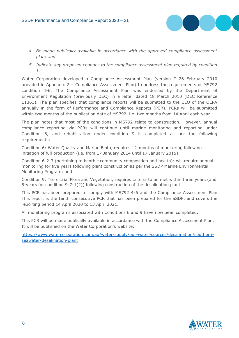

- *4. Be made publically available in accordance with the approved compliance assessment plan; and*
- *5. Indicate any proposed changes to the compliance assessment plan required by condition 1.*

Water Corporation developed a Compliance Assessment Plan (version C 26 February 2010 provided in Appendix 2 – Compliance Assessment Plan) to address the requirements of MS792 condition 4-6. The Compliance Assessment Plan was endorsed by the Department of Environment Regulation (previously DEC) in a letter dated 18 March 2010 (DEC Reference 11361). The plan specifies that compliance reports will be submitted to the CEO of the OEPA annually in the form of Performance and Compliance Reports (PCR). PCRs will be submitted within two months of the publication date of MS792, i.e. two months from 14 April each year.

The plan notes that most of the conditions in MS792 relate to construction. However, annual compliance reporting via PCRs will continue until marine monitoring and reporting under Condition 6, and rehabilitation under condition 9 is completed as per the following requirements:

Condition 6: Water Quality and Marine Biota, requires 12-months of monitoring following initiation of full production (i.e. from 17 January 2014 until 17 January 2015);

Condition 6-2-3 (pertaining to benthic community composition and health): will require annual monitoring for five years following plant construction as per the SSDP Marine Environmental Monitoring Program; and

Condition 9: Terrestrial Flora and Vegetation, requires criteria to be met within three years (and 5-years for condition 9-7-1(2)) following construction of the desalination plant.

This PCR has been prepared to comply with MS792 4-6 and the Compliance Assessment Plan This report is the tenth consecutive PCR that has been prepared for the SSDP, and covers the reporting period 14 April 2020 to 13 April 2021.

All monitoring programs associated with Conditions 6 and 9 have now been completed.

This PCR will be made publically available in accordance with the Compliance Assessment Plan. It will be published on the Water Corporation's website:

[https://www.watercorporation.com.au/water-supply/our-water-sources/desalination/southern](https://www.watercorporation.com.au/water-supply/our-water-sources/desalination/southern-seawater-desalination-plant)[seawater-desalination-plant](https://www.watercorporation.com.au/water-supply/our-water-sources/desalination/southern-seawater-desalination-plant)

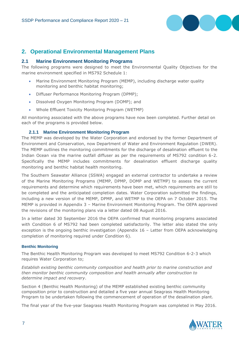

# <span id="page-6-0"></span>**2. Operational Environmental Management Plans**

#### <span id="page-6-1"></span>**2.1 Marine Environment Monitoring Programs**

The following programs were designed to meet the Environmental Quality Objectives for the marine environment specified in MS792 Schedule 1:

- Marine Environment Monitoring Program (MEMP), including discharge water quality monitoring and benthic habitat monitoring;
- Diffuser Performance Monitoring Program (DPMP);
- Dissolved Oxygen Monitoring Program (DOMP); and
- Whole Effluent Toxicity Monitoring Program (WETMP)

All monitoring associated with the above programs have now been completed. Further detail on each of the programs is provided below.

#### **2.1.1 Marine Environment Monitoring Program**

<span id="page-6-2"></span>The MEMP was developed by the Water Corporation and endorsed by the former Department of Environment and Conservation, now Department of Water and Environment Regulation (DWER). The MEMP outlines the monitoring commitments for the discharge of desalination effluent to the Indian Ocean via the marine outfall diffuser as per the requirements of MS792 condition 6-2. Specifically the MEMP includes commitments for desalination effluent discharge quality monitoring and benthic habitat health monitoring.

The Southern Seawater Alliance (SSWA) engaged an external contractor to undertake a review of the Marine Monitoring Programs (MEMP, DPMP, DOMP and WETMP) to assess the current requirements and determine which requirements have been met, which requirements are still to be completed and the anticipated completion dates. Water Corporation submitted the findings, including a new version of the MEMP, DPMP, and WETMP to the OEPA on 7 October 2015. The MEMP is provided in Appendix 3 – Marine Environment Monitoring Program. The OEPA approved the revisions of the monitoring plans via a letter dated 08 August 2016.

In a letter dated 30 September 2016 the OEPA confirmed that monitoring programs associated with Condition 6 of MS792 had been completed satisfactorily. The letter also stated the only exception is the ongoing benthic investigation (Appendix 16 – Letter from OEPA acknowledging completion of monitoring required under Condition 6).

#### **Benthic Monitoring**

The Benthic Health Monitoring Program was developed to meet MS792 Condition 6-2-3 which requires Water Corporation to;

*Establish existing benthic community composition and health prior to marine construction and then monitor benthic community composition and health annually after construction to determine impact and recovery*.

Section 4 (Benthic Health Monitoring) of the MEMP established existing benthic community composition prior to construction and detailed a five year annual Seagrass Health Monitoring Program to be undertaken following the commencement of operation of the desalination plant.

The final year of the five-year Seagrass Health Monitoring Program was completed in May 2016.

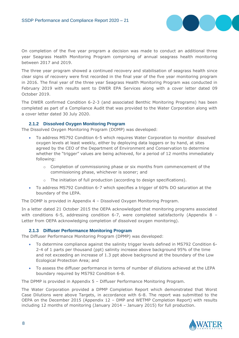

On completion of the five year program a decision was made to conduct an additional three year Seagrass Health Monitoring Program comprising of annual seagrass health monitoring between 2017 and 2019.

The three year program showed a continued recovery and stabilisation of seagrass health since clear signs of recovery were first recorded in the final year of the five year monitoring program in 2016. The final year of the three year Seagrass Health Monitoring Program was conducted in February 2019 with results sent to DWER EPA Services along with a cover letter dated 09 October 2019.

The DWER confirmed Condition 6-2-3 (and associated Benthic Monitoring Programs) has been completed as part of a Compliance Audit that was provided to the Water Corporation along with a cover letter dated 30 July 2020.

#### **2.1.2 Dissolved Oxygen Monitoring Program**

<span id="page-7-0"></span>The Dissolved Oxygen Monitoring Program (DOMP) was developed:

- To address MS792 Condition 6-5 which requires Water Corporation to monitor dissolved oxygen levels at least weekly, either by deploying data loggers or by hand, at sites agreed by the CEO of the Department of Environment and Conservation to determine whether the "trigger" values are being achieved, for a period of 12 months immediately following:
	- $\circ$  Completion of commissioning phase or six months from commencement of the commissioning phase, whichever is sooner; and
	- The initiation of full production (according to design specifications).
- To address MS792 Condition 6-7 which specifies a trigger of 60% DO saturation at the boundary of the LEPA.

The DOMP is provided in Appendix 4 – Dissolved Oxygen Monitoring Program.

In a letter dated 21 October 2015 the OEPA acknowledged that monitoring programs associated with conditions 6-5, addressing condition 6-7, were completed satisfactorily (Appendix 8 – Letter from OEPA acknowledging completion of dissolved oxygen monitoring).

#### <span id="page-7-1"></span>**2.1.3 Diffuser Performance Monitoring Program**

The Diffuser Performance Monitoring Program (DPMP) was developed:

- To determine compliance against the salinity trigger levels defined in MS792 Condition 6- 2-4 of 1 parts per thousand (ppt) salinity increase above background 95% of the time and not exceeding an increase of 1.3 ppt above background at the boundary of the Low Ecological Protection Area; and
- To assess the diffuser performance in terms of number of dilutions achieved at the LEPA boundary required by MS792 Condition 6-8.

The DPMP is provided in Appendix 5 – Diffuser Performance Monitoring Program.

The Water Corporation provided a DPMP Completion Report which demonstrated that Worst Case Dilutions were above Targets, in accordance with 6-8. The report was submitted to the OEPA on the December 2015 (Appendix 12 – DMP and WETMP Completion Report) with results including 12 months of monitoring (January 2014 – January 2015) for full production.

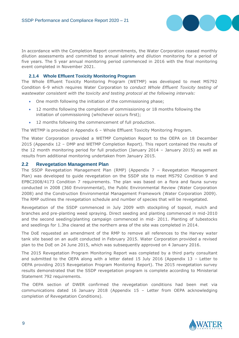

In accordance with the Completion Report commitments, the Water Corporation ceased monthly dilution assessments and committed to annual salinity and dilution monitoring for a period of five years. The 5 year annual monitoring period commenced in 2016 with the final monitoring event completed in November 2021.

#### **2.1.4 Whole Effluent Toxicity Monitoring Program**

<span id="page-8-0"></span>The Whole Effluent Toxicity Monitoring Program (WETMP) was developed to meet MS792 Condition 6-9 which requires Water Corporation to *conduct Whole Effluent Toxicity testing of wastewater consistent with the toxicity and testing protocol at the following intervals:*

- One month following the initiation of the commissioning phase;
- 12 months following the completion of commissioning or 18 months following the initiation of commissioning (whichever occurs first);
- 12 months following the commencement of full production.

The WETMP is provided in Appendix 6 – Whole Effluent Toxicity Monitoring Program.

The Water Corporation provided a WETMP Completion Report to the OEPA on 18 December 2015 (Appendix 12 – DMP and WETMP Completion Report). This report contained the results of the 12 month monitoring period for full production (January 2014 – January 2015) as well as results from additional monitoring undertaken from January 2015.

#### <span id="page-8-1"></span>**2.2 Revegetation Management Plan**

The SSDP Revegetation Management Plan (RMP) (Appendix 7 – Revegetation Management Plan) was developed to guide revegetation on the SSDP site to meet MS792 Condition 9 and EPBC2008/4173 Condition 7 requirements. The plan was based on a flora and fauna survey conducted in 2008 (360 Environmental), the Public Environmental Review (Water Corporation 2008) and the Construction Environmental Management Framework (Water Corporation 2009). The RMP outlines the revegetation schedule and number of species that will be revegetated.

Revegetation of the SSDP commenced in July 2009 with stockpiling of topsoil, mulch and branches and pre-planting weed spraying. Direct seeding and planting commenced in mid-2010 and the second seeding/planting campaign commenced in mid- 2011. Planting of tubestocks and seedlings for 1.3ha cleared at the northern area of the site was completed in 2014.

The DoE requested an amendment of the RMP to remove all references to the Harvey water tank site based on an audit conducted in February 2015. Water Corporation provided a revised plan to the DoE on 24 June 2015, which was subsequently approved on 4 January 2016.

The 2015 Revegetation Program Monitoring Report was completed by a third party consultant and submitted to the OEPA along with a letter dated 15 July 2016 (Appendix 13 – Letter to OEPA providing 2015 Revegetation Program Monitoring Report). The 2015 revegetation survey results demonstrated that the SSDP revegetation program is complete according to Ministerial Statement 792 requirements.

The OEPA section of DWER confirmed the revegetation conditions had been met via communications dated 16 January 2018 (Appendix 15 – Letter from OEPA acknowledging completion of Revegetation Conditions).

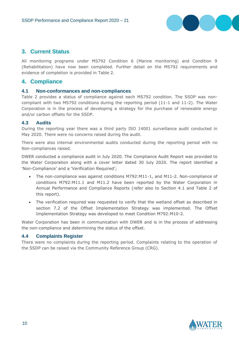

# <span id="page-9-0"></span>**3. Current Status**

All monitoring programs under MS792 Condition 6 (Marine monitoring) and Condition 9 (Rehabilitation) have now been completed. Further detail on the MS792 requirements and evidence of completion is provided in [Table 2.](#page-13-0)

## <span id="page-9-1"></span>**4. Compliance**

#### <span id="page-9-2"></span>**4.1 Non-conformances and non-compliances**

[Table 2](#page-13-0) provides a status of compliance against each MS792 condition. The SSDP was noncompliant with two MS792 conditions during the reporting period (11-1 and 11-2). The Water Corporation is in the process of developing a strategy for the purchase of renewable energy and/or carbon offsets for the SSDP.

#### <span id="page-9-3"></span>**4.3 Audits**

During the reporting year there was a third party ISO 14001 surveillance audit conducted in May 2020. There were no concerns raised during the audit.

There were also internal environmental audits conducted during the reporting period with no Non-compliances raised.

DWER conducted a compliance audit in July 2020. The Compliance Audit Report was provided to the Water Corporation along with a cover letter dated 30 July 2020. The report identified a 'Non-Compliance' and a 'Verification Required';

- The non-compliance was against conditions M792:M11-1, and M11-2. Non-compliance of conditions M792:M11.1 and M11.2 have been reported by the Water Corporation in Annual Performance and Compliance Reports (refer also to Section 4.1 and Table 2 of this report).
- The verification required was requested to verify that the wetland offset as described in section 7.2 of the Offset Implementation Strategy was implemented. The Offset Implementation Strategy was developed to meet Condition M792:M10-2.

Water Corporation has been in communication with DWER and is in the process of addressing the non-compliance and determining the status of the offset.

#### <span id="page-9-4"></span>**4.4 Complaints Register**

There were no complaints during the reporting period. Complaints relating to the operation of the SSDP can be raised via the Community Reference Group (CRG).

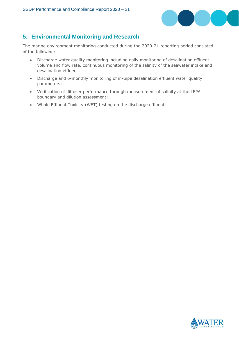

# <span id="page-10-0"></span>**5. Environmental Monitoring and Research**

The marine environment monitoring conducted during the 2020-21 reporting period consisted of the following:

- Discharge water quality monitoring including daily monitoring of desalination effluent volume and flow rate, continuous monitoring of the salinity of the seawater intake and desalination effluent;
- Discharge and 6-monthly monitoring of in-pipe desalination effluent water quality parameters;
- Verification of diffuser performance through measurement of salinity at the LEPA boundary and dilution assessment;
- Whole Effluent Toxicity (WET) testing on the discharge effluent.

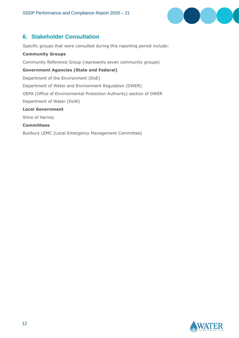

# <span id="page-11-0"></span>**6. Stakeholder Consultation**

Specific groups that were consulted during this reporting period include:

**Community Groups** Community Reference Group (represents seven community groups) **Government Agencies (State and Federal)** Department of the Environment (DoE) Department of Water and Environment Regulation (DWER) OEPA (Office of Environmental Protection Authority) section of DWER Department of Water (DoW) **Local Government**  Shire of Harvey **Committees** Bunbury LEMC (Local Emergency Management Committee)

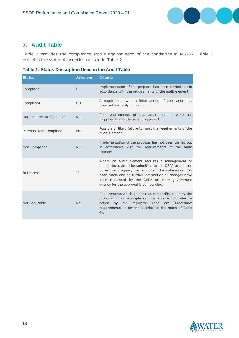

# <span id="page-12-0"></span>**7. Audit Table**

[Table 2](#page-13-1) provides the compliance status against each of the conditions in MS792. [Table 1](#page-12-1) provides the status description utilised in [Table 2.](#page-13-1)

### <span id="page-12-1"></span>**Table 1: Status Description Used in the Audit Table**

| <b>Status</b>              | <b>Acronym</b> | <b>Criteria</b>                                                                                                                                                                                                                                                                                                        |
|----------------------------|----------------|------------------------------------------------------------------------------------------------------------------------------------------------------------------------------------------------------------------------------------------------------------------------------------------------------------------------|
| Compliant                  | $\mathsf{C}$   | Implementation of the proposal has been carried out in<br>accordance with the requirements of the audit element.                                                                                                                                                                                                       |
| Completed                  | <b>CLD</b>     | A requirement with a finite period of application has<br>been satisfactorily completed.                                                                                                                                                                                                                                |
| Not Required at this Stage | <b>NR</b>      | The requirements of this audit element were not<br>triggered during the reporting period.                                                                                                                                                                                                                              |
| Potential Non-Compliant    | <b>PNC</b>     | Possible or likely failure to meet the requirements of the<br>audit element.                                                                                                                                                                                                                                           |
| Non-Compliant              | <b>NC</b>      | Implementation of the proposal has not been carried out<br>in accordance with the requirements of the audit<br>element.                                                                                                                                                                                                |
| In Process                 | IP             | Where an audit element requires a management or<br>monitoring plan to be submitted to the OEPA or another<br>government agency for approval, the submission has<br>been made and no further information or changes have<br>been requested by the OEPA or other government<br>agency for the approval is still pending. |
| Not Applicable             | <b>NA</b>      | Requirements which do not require specific action by the<br>proponent. For example requirements which refer to<br>regulator (and<br>action<br>the<br>are<br>'Procedure'<br>by<br>requirements as described below in the notes of Table<br>4).                                                                          |

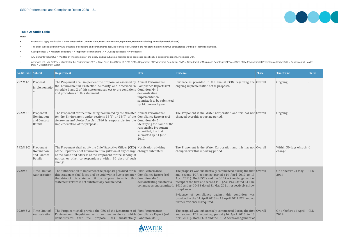#### <span id="page-13-1"></span><span id="page-13-0"></span>**Table 2: Audit Table**

**Note:**

- Phases that apply in this table = **Pre-Construction, Construction, Post-Construction, Operation, Decommissioning, Overall (several phases)**
- This audit table is a summary and timetable of conditions and commitments applying to this project. Refer to the Minister's Statement for full detail/precise wording of individual elements.
- Code prefixes: M = Minister's condition; P = Proponent's commitment; A = Audit specification; N = Procedure.
- Any elements with status = "Audited by Proponent only" are legally binding but are not required to be addressed specifically in compliance reports, if complied with.
- . Acronyms list:- Min for Env = Minister for the Environment; CEO = Chief Executive Officer of DER; DER = Department of Environment Regulation; DMP = Department of Mining and Petroleum; OEPA = Office of the Environmental P DoW = Department of Water.

| <b>Audit Code Subject</b> |                                                   | Requirement                                                                                                                                                                                                                                                                                                       | <b>How</b>                                                                                                    | <b>Evidence</b>                                                                                                                                                                                                                                                                                                                                                                                                                                                                       | <b>Phase</b> | <b>Timeframe</b>                       | <b>Status</b> |
|---------------------------|---------------------------------------------------|-------------------------------------------------------------------------------------------------------------------------------------------------------------------------------------------------------------------------------------------------------------------------------------------------------------------|---------------------------------------------------------------------------------------------------------------|---------------------------------------------------------------------------------------------------------------------------------------------------------------------------------------------------------------------------------------------------------------------------------------------------------------------------------------------------------------------------------------------------------------------------------------------------------------------------------------|--------------|----------------------------------------|---------------|
| $792: M1-1$ Proposal      | Implementatio                                     | The Proponent shall implement the proposal as assessed by $ $ Annual Performance<br>the Environmental Protection Authority and described in Compliance Reports (ref<br>schedule 1 and 2 of this statement subject to the conditions<br>and procedures of this statement.                                          | Condition M4-6<br>demonstrating<br>implementation<br>submitted; to be submitted<br>by 14 June each year.      | Evidence is provided in the annual PCRs regarding the Overall<br>ongoing implementation of the proposal.                                                                                                                                                                                                                                                                                                                                                                              |              | Ongoing                                |               |
| 792:M2-1                  | Proponent<br>Nomination<br>and Contact<br>Details | The Proponent for the time being nominated by the Minister Annual Performance<br>for the Environment under sections 38(6) or 38(7) of the Compliance Reports (ref<br>Environmental Protection Act 1986 is responsible for the Condition M4-6)<br>implementation of the proposal.                                  | identifying the name of the<br>responsible Proponent<br>submitted; the first<br>submitted by 14 June<br>2010. | The Proponent is the Water Corporation and this has not Overall<br>changed over this reporting period.                                                                                                                                                                                                                                                                                                                                                                                |              | Ongoing                                |               |
| 792:M2-2                  | Proponent<br>Nomination<br>and Contact<br>Details | The Proponent shall notify the Chief Executive Officer (CEO) Notification advising<br>of the Department of Environment Regulation of any change changes submitted.<br>of the name and address of the Proponent for the serving of<br>notices or other correspondence within 30 days of such<br>change.            |                                                                                                               | The Proponent is the Water Corporation and this has not Overall<br>changed over this reporting period.                                                                                                                                                                                                                                                                                                                                                                                |              | Within 30 days of such $ C $<br>change |               |
| 792:M3-1                  | Time Limit of<br>Authorisation                    | The authorisation to implement the proposal provided for in First Performance<br>this statement shall lapse and be void within five years after Compliance Report (ref<br>the date of this statement if the proposal to which this $\lfloor$ Condition M4-6)<br>statement relates is not substantially commenced. | demonstrating substantial<br>commencement submitted.                                                          | The proposal was substantially commenced during the first $\vert$ Overall<br>and second PCR reporting period (14 April 2010 to 13<br>April 2011). Both PCRs and the OEPA acknowledgement of<br>receipt of the first and second PCR (A311933 dated 23 June<br>2010 and A400433 dated 31 May 2011, respectively) show<br>compliance.<br>Evidence of compliance against this condition was<br>provided in the 14 April 2013 to 13 April 2014 PCR and no<br>further evidence is required. |              | On or before 21 May<br>2014            | <b>CLD</b>    |
| 792:M3-2                  | Time Limit of<br>Authorisation                    | The Proponent shall provide the CEO of the Department of First Performance<br>Environment Regulation with written evidence which Compliance Report (ref<br>demonstrates that the proposal has substantially Condition M4-6)                                                                                       |                                                                                                               | The proposal was substantially commenced during the first Overall<br>and second PCR reporting period (14 April 2010 to 13<br>April 2011). Both PCRs and the OEPA acknowledgement of                                                                                                                                                                                                                                                                                                   |              | On or before 14 April<br>2014          | <b>CLD</b>    |



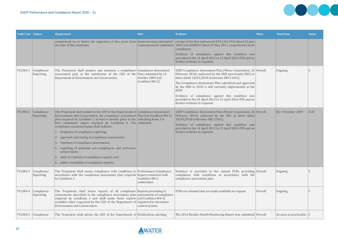

| <b>Audit Code Subject</b> |                                    | <b>Requirement</b>                                                                                                                                                                                                                                                                                                                                                                                                                                                                                                                                                                                                                                                                                              | <b>How</b>                            | <b>Evidence</b>                                                                                                                                                                                                                                                                                                                                                                                                                                               | <b>Phase</b> | <b>Timeframe</b>            | <b>Status</b> |
|---------------------------|------------------------------------|-----------------------------------------------------------------------------------------------------------------------------------------------------------------------------------------------------------------------------------------------------------------------------------------------------------------------------------------------------------------------------------------------------------------------------------------------------------------------------------------------------------------------------------------------------------------------------------------------------------------------------------------------------------------------------------------------------------------|---------------------------------------|---------------------------------------------------------------------------------------------------------------------------------------------------------------------------------------------------------------------------------------------------------------------------------------------------------------------------------------------------------------------------------------------------------------------------------------------------------------|--------------|-----------------------------|---------------|
|                           |                                    | commenced on or before the expiration of five years from demonstrating substantial<br>the date of this statement.                                                                                                                                                                                                                                                                                                                                                                                                                                                                                                                                                                                               |                                       | receipt of the first and second PCR (A311933 dated 23 June<br>commencement submitted. 2010 and A400433 dated 31 May 2011, respectively) show<br>compliance.<br>Evidence of compliance against this condition was<br>provided in the 14 April 2013 to 13 April 2014 PCR and no<br>further evidence is required.                                                                                                                                                |              |                             |               |
| 792:M4-1                  | Compliance<br>Reporting            | The Proponent shall prepare and maintain a compliance Compliance Assessment<br>assessment plan to the satisfaction of the CEO of the Plan, submitted by 14<br>Department of Environment and Conservation.                                                                                                                                                                                                                                                                                                                                                                                                                                                                                                       | October 2009 (ref<br>Condition M4-2). | SSDP Compliance Assessment Plan (Water Corporation, 26   Overall<br>February 2010), endorsed by the DER (previously DEC) in<br>letter dated 18/03/2010 (reference DEC11361).<br>The Compliance Assessment Plan submitted and approved<br>by the DER in 2010 is still currently implemented at the<br>SSDP.<br>Evidence of compliance against this condition was<br>provided in the 14 April 2013 to 13 April 2014 PCR and no<br>further evidence is required. |              | Ongoing                     |               |
| 792:M4-2                  | Compliance<br>Reporting            | The Proponent shall submit to the CEO of the Department of Compliance Assessment<br>Environment and Conservation, the compliance assessment Plan (ref Condition M4-1)<br>plan required by Condition 1 at least 6 months prior to the indicating items $1-6$<br>first compliance report required by Condition $6$ . The submitted.<br>compliance assessment plan shall indicate:<br>frequency of compliance reporting;<br>2. approach and timing of compliance assessments;<br>retention of compliance assessments;<br>3.<br>4. reporting of potential non-compliances and corrective<br>actions taken;<br>table of contents of compliance reports; and<br>$\vert$ 6. public availability of compliance reports. |                                       | SSDP Compliance Assessment Plan (Water Corporation, 26   Overall<br>February 2010), endorsed by the DEC in letter dated<br>18/03/2010 (reference DEC11361).<br>Evidence of compliance against this condition was<br>provided in the 14 April 2013 to 13 April 2014 PCR and no<br>further evidence is required.                                                                                                                                                |              | By 14 October 2009          | <b>CLD</b>    |
| 792:M4-3                  | Compliance<br>Reporting            | The Proponent shall assess compliance with conditions in Performance Compliance<br>$ accordance$ with the compliance assessment plan required Report consistent with<br>by Condition 1.                                                                                                                                                                                                                                                                                                                                                                                                                                                                                                                         | Condition M4-2<br>undertaken.         | Evidence is provided in the annual PCRs providing $\sqrt{2}$ Overall<br>compliance with conditions in accordance with the<br>compliance assessment plan.                                                                                                                                                                                                                                                                                                      |              | Ongoing                     |               |
|                           | 792:M4-4   Compliance<br>Reporting | The Proponent shall retain reports of all compliance Reports pertaining to<br>assessments described in the compliance assessment plan assessments of compliance<br>required by Condition 1 and shall make those reports $ $ (ref Condition M4-2)<br>available when requested by the CEO of the Department of registered in document<br><b>Environment and Conservation.</b>                                                                                                                                                                                                                                                                                                                                     | control system.                       | PCRs are retained and are made available on request.                                                                                                                                                                                                                                                                                                                                                                                                          | Overall      | Ongoing                     |               |
|                           | 792:M4-5   Compliance              | The Proponent shall advise the CEO of the Department of Notifications advising                                                                                                                                                                                                                                                                                                                                                                                                                                                                                                                                                                                                                                  |                                       | The 2016 Benthic Health Monitoring Report was submitted Overall                                                                                                                                                                                                                                                                                                                                                                                               |              | As soon as practicable.   C |               |

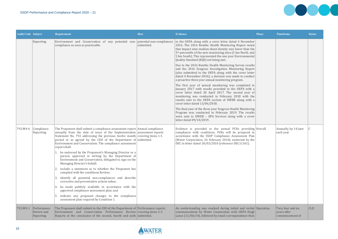| <b>Audit Code Subject</b> |                                               | Requirement                                                                                                                                                                                                                                                                                                                                                                          | <b>How</b> | <b>Evidence</b>                                                                                                                                                                                                                                                                                                                                              | <b>Phase</b> | <b>Timeframe</b>                                    | <b>Status</b> |
|---------------------------|-----------------------------------------------|--------------------------------------------------------------------------------------------------------------------------------------------------------------------------------------------------------------------------------------------------------------------------------------------------------------------------------------------------------------------------------------|------------|--------------------------------------------------------------------------------------------------------------------------------------------------------------------------------------------------------------------------------------------------------------------------------------------------------------------------------------------------------------|--------------|-----------------------------------------------------|---------------|
|                           | Reporting                                     | Environment and Conservation of any potential non- potential non-compliances<br>compliance as soon as practicable.                                                                                                                                                                                                                                                                   | submitted. | to the OEPA along with a cover letter dated 4 November<br>2016. The 2016 Benthic Health Monitoring Report noted<br>that impact sites median shoot density was lower than the<br>5 <sup>th</sup> percentile of the new monitoring sites (5 km North, and<br>5 km South). This represented the one year Environmental<br>Quality Standard (EQS) not being met. |              |                                                     |               |
|                           |                                               |                                                                                                                                                                                                                                                                                                                                                                                      |            | Due to the 2016 Benthic Health Monitoring Survey results<br>and the 2016 Seagrass Investigation Monitoring Report<br>(also submitted to the OEPA along with the cover letter<br>dated 4 November 2016); a decision was made to conduct<br>a proactive three year annual monitoring program.                                                                  |              |                                                     |               |
|                           |                                               |                                                                                                                                                                                                                                                                                                                                                                                      |            | The first year of annual monitoring was completed in<br>January 2017 with results provided to the OEPA with a<br>cover letter dated 20 April 2017. The second year of<br>monitoring was conducted in February 2018 with the<br>results sent to the OEPA section of DWER along with a<br>cover letter dated 13/06/2018.                                       |              |                                                     |               |
|                           |                                               |                                                                                                                                                                                                                                                                                                                                                                                      |            | The final year of the three year Seagrass Health Monitoring<br>Program was conducted in February 2019. The results<br>were sent to DWER - EPA Services along with a cover<br>letter dated 09/10/2019.                                                                                                                                                        |              |                                                     |               |
| 792:M4-6                  | Compliance<br>Reporting                       | The Proponent shall submit a compliance assessment report Annual compliance<br>annually from the date of issue of the Implementation assessment reports<br>Statement No. 792 addressing the previous twelve month covering items $1-5$<br>period or as agreed by the CEO of the Department of submitted.<br>Environment and Conservation. The compliance assessment<br>report shall: |            | Evidence is provided in the annual PCRs providing Overall<br>compliance with conditions. PCRs will be prepared in<br>accordance with the SSDP Compliance Assessment Plan<br>(Water Corporation, 26 February 2010), endorsed by the<br>DEC in letter dated 18/03/2010 (reference DEC11361).                                                                   |              | Annually, by 14 June<br>each year                   | C.            |
|                           |                                               | 1. be endorsed by the Proponent's Managing Director or a<br>person, approved in writing by the Department of<br>Environment and Conservation, delegated to sign on the<br>Managing Director's behalf;                                                                                                                                                                                |            |                                                                                                                                                                                                                                                                                                                                                              |              |                                                     |               |
|                           |                                               | 2. include a statement as to whether the Proponent has<br>complied with the conditions Review;                                                                                                                                                                                                                                                                                       |            |                                                                                                                                                                                                                                                                                                                                                              |              |                                                     |               |
|                           |                                               | identify all potential non-compliances and describe<br>corrective and preventative actions taken;                                                                                                                                                                                                                                                                                    |            |                                                                                                                                                                                                                                                                                                                                                              |              |                                                     |               |
|                           |                                               | 4. be made publicly available in accordance with the<br>approved compliance assessment plan; and                                                                                                                                                                                                                                                                                     |            |                                                                                                                                                                                                                                                                                                                                                              |              |                                                     |               |
|                           |                                               | indicate any proposed changes to the compliance<br>assessment plan required by Condition 1.                                                                                                                                                                                                                                                                                          |            |                                                                                                                                                                                                                                                                                                                                                              |              |                                                     |               |
| 792:M5-1                  | Performance<br>Review and<br><b>Reporting</b> | The Proponent shall submit to the CEO of the Department of Performance reports<br>Environment and Conservation Performance Review covering items 1-3<br>Reports at the conclusion of the second, fourth and sixth submitted.                                                                                                                                                         |            | An understanding was reached during initial and verbal Operation<br>communications by Water Corporation with OEPA Hugh<br>Lance (11/06/14), followed by email correspondence that;                                                                                                                                                                           |              | Two, four and six<br>years after<br>commencement of | $ $ CLD       |





**CONTRACTOR** 

0000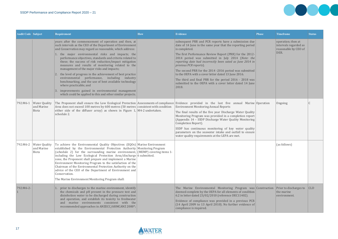

| <b>Audit Code Subject</b> |                                                 | Requirement                                                                                                                                                                                                                                                                                                                                                                                                                                                                                                                                                                                                                                                                                                                                                                         | <b>How</b> | <b>Evidence</b>                                                                                                                                                                                                                                                                                                                                                                                                                                                                                                                                                                           | <b>Phase</b> | <b>Timeframe</b>                                                            | <b>Status</b> |
|---------------------------|-------------------------------------------------|-------------------------------------------------------------------------------------------------------------------------------------------------------------------------------------------------------------------------------------------------------------------------------------------------------------------------------------------------------------------------------------------------------------------------------------------------------------------------------------------------------------------------------------------------------------------------------------------------------------------------------------------------------------------------------------------------------------------------------------------------------------------------------------|------------|-------------------------------------------------------------------------------------------------------------------------------------------------------------------------------------------------------------------------------------------------------------------------------------------------------------------------------------------------------------------------------------------------------------------------------------------------------------------------------------------------------------------------------------------------------------------------------------------|--------------|-----------------------------------------------------------------------------|---------------|
|                           |                                                 | years after the commencement of operation and then, at<br>such intervals as the CEO of the Department of Environment<br>and Conservation may regard as reasonable, which address:<br>1. the major environmental risks and impacts; the<br>performance objectives, standards and criteria related to<br>these; the success of risk reduction/impact mitigation<br>measures and results of monitoring related to the<br>management of the major risks and impacts;<br>the level of progress in the achievement of best practice<br>environmental performance, including industry<br>benchmarking, and the use of best available technology<br>where practicable; and<br>improvements gained in environmental management<br>which could be applied to this and other similar projects. |            | subsequent PRR and PCR reports have a submission due<br>date of 14 June in the same year that the reporting period<br>is completed.<br>The first Performance Review Report (PRR) for the 2012-<br>2014 period was submitted in July 2014 (Note: the<br>reporting date had incorrectly been sated as June 2014 in<br>previous PCR reports).<br>The second PRR for the 2014 -2016 period was submitted<br>to the OEPA with a cover letter dated 13 June 2016.<br>The third and final PRR for the period 2016 - 2018 was<br>submitted to the OEPA with a cover letter dated 14 June<br>2018. |              | operation; then at<br>intervals regarded as<br>reasonable by CEO of<br>DER. |               |
| 792:M6-1                  | <b>Water Quality</b><br>and Marine<br>Biota     | The Proponent shall ensure the Low Ecological Protection Assessments of compliance Evidence provided in the last five annual Marine Operation<br>Area does not exceed 100 metres by 600 metres (50 metres consistent with condition<br>either side of the diffuser array) as shown in Figure $1$ , M4-2 undertaken.<br>schedule 2.                                                                                                                                                                                                                                                                                                                                                                                                                                                  |            | <b>Environment Monitoring Annual Reports</b><br>The final results of the five year Discharge Water Quality<br>Monitoring Program was provided in a completion report<br>(Appendix 14 - SSDP Discharge Water Quality Monitoring<br>Completion Report).<br>SSDP has continuous monitoring of key water quality<br>parameters on the seawater intake and outfall to ensure<br>water quality requirements at the LEPA are met.                                                                                                                                                                |              | Ongoing                                                                     |               |
|                           | 792:M6-2   Water Quality<br>and Marine<br>Biota | To achieve the Environmental Quality Objectives (EQOs) Marine Environment<br>established by the Environmental Protection Authority Monitoring Program<br>(schedule 2) for the surrounding marine environment, (MEMP) covering items 1-<br>including the Low Ecological Protection Area/discharge 6 submitted.<br>zone, the Proponent shall prepare and implement a Marine<br>Environment Monitoring Program to the satisfaction of the<br>Chairman of the Environmental Protection Authority on the<br>advice of the CEO of the Department of Environment and<br>Conservation.<br>The Marine Environment Monitoring Program shall:                                                                                                                                                  |            |                                                                                                                                                                                                                                                                                                                                                                                                                                                                                                                                                                                           |              | (as follows)                                                                |               |
| 792:M6-2-                 |                                                 | . prior to discharges to the marine environment, identify<br>the chemicals and pH present in the pressure test and<br>disinfection water to be discharged during construction<br>and operation, and establish its toxicity to freshwater<br>marine environments consistent with the<br>and<br>recommended approaches in ANZECC/ARMCANZ 2000*;                                                                                                                                                                                                                                                                                                                                                                                                                                       |            | The Marine Environmental Monitoring Program was Construction<br>deemed complete by the OEPA for all elements of condition<br>6.2 in letter dated 23/02/2010 (reference DEC11402).<br>Evidence of compliance was provided in a previous PCR<br>(14 April 2009 to 13 April 2010). No further evidence of<br>compliance is required.                                                                                                                                                                                                                                                         |              | Prior to discharges to<br>the marine<br>environment.                        | <b>CLD</b>    |

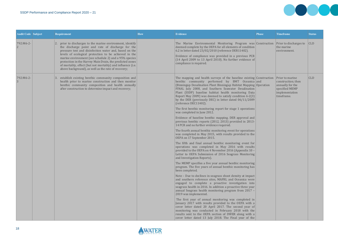

| <b>Audit Code Subject</b> | Requirement                                                                                                                                                                                                                                                                                                                                                                                                                                                                 | <b>How</b> | <b>Evidence</b>                                                                                                                                                                                                                                                                                                                                                                                                                                           | <b>Phase</b> | <b>Timeframe</b>                                                                                                   | <b>Status</b> |
|---------------------------|-----------------------------------------------------------------------------------------------------------------------------------------------------------------------------------------------------------------------------------------------------------------------------------------------------------------------------------------------------------------------------------------------------------------------------------------------------------------------------|------------|-----------------------------------------------------------------------------------------------------------------------------------------------------------------------------------------------------------------------------------------------------------------------------------------------------------------------------------------------------------------------------------------------------------------------------------------------------------|--------------|--------------------------------------------------------------------------------------------------------------------|---------------|
| 792:M6-2-                 | prior to discharges to the marine environment, identify<br>the discharge point and rate of discharge for the<br>pressure test and disinfection water and, based on the<br>levels of ecological protection to be achieved in the<br>marine environment (see schedule 2) and a 95% species<br>protection in the Harvey Main Drain, the predicted zones<br>of mortality, effect (but not mortality) and influence (i.e.<br>above background), as well as the rate of recovery; |            | The Marine Environmental Monitoring Program was Construction<br>deemed complete by the OEPA for all elements of condition<br>6.2 in letter dated 23/02/2010 (reference DER11402).<br>Evidence of compliance was provided in a previous PCR<br>(14 April 2009 to 13 April 2010). No further evidence of<br>compliance is required.                                                                                                                         |              | Prior to discharges to<br>the marine<br>environment.                                                               | CLD           |
| 792:M6-2-                 | establish existing benthic community composition and<br>health prior to marine construction and then monitor<br>benthic community composition and health annually<br>after construction to determine impact and recovery;                                                                                                                                                                                                                                                   |            | The mapping and health surveys of the baseline existing Construction<br>benthic community performed by BMT Oceanica and<br>(Binningup Desalination Plant Binningup Habitat Mapping Operation<br>FINAL July 2008, and Southern Seawater Desalination<br>Plant (SSDP) baseline habitat health monitoring Data<br>Report May 2009) was deemed to satisfy condition 6-2(3)<br>by the DER (previously DEC) in letter dated 06/11/2009<br>(reference DEC11402). |              | <b>Prior to marine</b><br>construction; then<br>annually for the<br>specified MEMP<br>implementation<br>timeframe. | $ $ CLD       |
|                           |                                                                                                                                                                                                                                                                                                                                                                                                                                                                             |            | The first benthic monitoring report for stage 1 operations<br>was completed in June 2012.                                                                                                                                                                                                                                                                                                                                                                 |              |                                                                                                                    |               |
|                           |                                                                                                                                                                                                                                                                                                                                                                                                                                                                             |            | Evidence of baseline benthic mapping. DER approval and<br>previous benthic reports (2012, 2013) provided in 2013-<br>14 PCR and no further evidence required.                                                                                                                                                                                                                                                                                             |              |                                                                                                                    |               |
|                           |                                                                                                                                                                                                                                                                                                                                                                                                                                                                             |            | The fourth annual benthic monitoring event for operations<br>was completed in May 2015, with results provided to the<br>OEPA on 17 September 2015.                                                                                                                                                                                                                                                                                                        |              |                                                                                                                    |               |
|                           |                                                                                                                                                                                                                                                                                                                                                                                                                                                                             |            | The fifth and final annual benthic monitoring event for<br>operations was completed in May 2016 with results<br>provided to the OEPA on 4 November 2016 (Appendix 10 -<br>Letter to OEPA Submission of 2016 Seagrass Monitoring<br>and Investigation Reports).                                                                                                                                                                                            |              |                                                                                                                    |               |
|                           |                                                                                                                                                                                                                                                                                                                                                                                                                                                                             |            | The MEMP specifies a five year annual benthic monitoring<br>program. The five years of annual benthic monitoring has<br>been completed.                                                                                                                                                                                                                                                                                                                   |              |                                                                                                                    |               |
|                           |                                                                                                                                                                                                                                                                                                                                                                                                                                                                             |            | Note - Due to declines in seagrass shoot density at impact<br>and southern reference sites, MAFRL and Oceanica were<br>engaged to complete a proactive investigation into<br>seagrass health in 2016. In addition a proactive three year<br>annual Seagrass health monitoring program from 2017 -<br>2019 was implemented.                                                                                                                                |              |                                                                                                                    |               |
|                           |                                                                                                                                                                                                                                                                                                                                                                                                                                                                             |            | The first year of annual monitoring was completed in<br>January 2017 with results provided to the OEPA with a<br>cover letter dated 20 April 2017. The second year of<br>monitoring was conducted in February 2018 with the<br>results sent to the OEPA section of DWER along with a<br>cover letter dated 13 July 2018. The Final year of the                                                                                                            |              |                                                                                                                    |               |



| <b>Phase</b>                     | <b>Timeframe</b>                                                                                            | <b>Status</b> |
|----------------------------------|-------------------------------------------------------------------------------------------------------------|---------------|
| Construction                     | Prior to discharges to<br>the marine<br>environment.                                                        | <b>CLD</b>    |
| Construction<br>and<br>Operation | Prior to marine<br>construction; then<br>annually for the<br>specified MEMP<br>implementation<br>timeframe. | <b>CLD</b>    |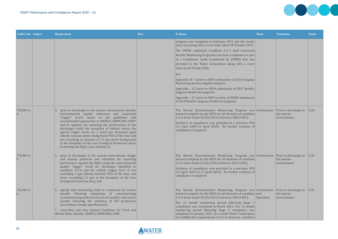| <b>Audit Code Subject</b> | <b>Requirement</b>                                                                                                                                                                                                                                                                                                                                                                                                                                                                                                                                                                                               | <b>How</b> | Evidence                                                                                                                                                                                                                                                                                                                                                                                                                                                                                                                                                                                                                                                                                              | <b>Phase</b> | <b>Timeframe</b>                                            | <b>Status</b> |
|---------------------------|------------------------------------------------------------------------------------------------------------------------------------------------------------------------------------------------------------------------------------------------------------------------------------------------------------------------------------------------------------------------------------------------------------------------------------------------------------------------------------------------------------------------------------------------------------------------------------------------------------------|------------|-------------------------------------------------------------------------------------------------------------------------------------------------------------------------------------------------------------------------------------------------------------------------------------------------------------------------------------------------------------------------------------------------------------------------------------------------------------------------------------------------------------------------------------------------------------------------------------------------------------------------------------------------------------------------------------------------------|--------------|-------------------------------------------------------------|---------------|
|                           |                                                                                                                                                                                                                                                                                                                                                                                                                                                                                                                                                                                                                  |            | program was completed in February 2019 and the results<br>were sent along with a cover letter dated 09 October 2019.<br>The DWER confirmed Condition 6-2-3 (and associated<br>Benthic Monitoring Programs) has been completed as part<br>of a Compliance Audit (conducted by DWER) that was<br>provided to the Water Corporation along with a cover<br>letter dated 30 July 2020.<br>See:<br>Appendix 10 – Letter to OEPA submission of 2016 Seagrass<br>Monitoring and Investigation Reports<br>Appendix - 11 Letter to OEPA submission of 2017 Benthic<br>Seagrass Health Investigation<br>Appendix – 17 Letter to OEPA section of DWER submission<br>of 2018 Benthic Seagrass Health Investigation |              |                                                             |               |
| 792:M6-2-                 | 4. prior to discharges to the marine environment, identify<br>environmental quality indicators and associated<br>"trigger" levels, based on the guidelines and<br>recommended approaches in ANZECC/ARMCANZ 2000*<br>and its updates, for assessing the performance of the<br>discharges (with the exception of salinity where the<br>agreed trigger levels are 1 parts per thousand (ppt)<br>salinity increase above background 95% of the time and<br>not exceeding an increase of 1.3 ppt above background<br>at the boundary of the Low Ecological Protection Area)<br>in meeting the EQOs, (see schedule 2); |            | The Marine Environmental Monitoring Program was Construction<br>deemed complete by the OEPA for all elements of condition<br>6-2 in letter dated 23/02/2010 (reference DER11402).<br>Evidence of compliance was provided in a previous PCR<br>(14 April 2009-13 April 2010). No further evidence of<br>compliance is required.                                                                                                                                                                                                                                                                                                                                                                        |              | Prior to discharges to<br>the marine<br>environment.        | CLD           |
| 792:M6-2-                 | prior to discharges to the marine environment, design<br>and employ protocols and schedules for reporting<br>performance against the EQOs using the environmental<br>quality "trigger" levels for discharges identified in<br>condition 6-2-4 and the salinity trigger level of not<br>exceeding 1 ppt salinity increase 95% of the time and<br>never exceeding 1.3 ppt at the boundary of the Low<br><b>Ecological Protection Area; and</b>                                                                                                                                                                     |            | The Marine Environmental Monitoring Program was Construction Prior to discharges to CLD<br>deemed complete by the OEPA for all elements of condition<br>$6.2$ in letter dated 23/02/2010 (reference DEC11402).<br>Evidence of compliance was provided in a previous PCR<br>(14 April 2009 to 13 April 2010). No further evidence of<br>compliance is required.                                                                                                                                                                                                                                                                                                                                        |              | the marine<br>environment.                                  |               |
| 792:M6-2-                 | 6. specify that monitoring shall be conducted for twelve<br>months following completion of commissioning<br>(commissioning shall not exceed six months) and twelve<br>months following the initiation of full production<br>(according to design specifications).<br>- Australian and New Zealand Guidelines for Fresh and<br>Marine Water Quality, ANZECC/ARMCANZ, 2000.                                                                                                                                                                                                                                        |            | The Marine Environmental Monitoring Program was Construction<br>deemed complete by the OEPA for all elements of condition and<br>6-2 in letter dated 23/02/2010 (reference DEC11402).<br>The 12 month monitoring period following Stage 1<br>completion was completed in March 2013. The 12 month<br>monitoring period following Stage 2 completion was<br>completed in January 2015. As a result Water Corporation<br>has fulfilled the requirements of 6-2-6. However, condition                                                                                                                                                                                                                    | Operation    | <b>Prior to discharges to</b><br>the marine<br>environment. | CLD           |





**DOOC**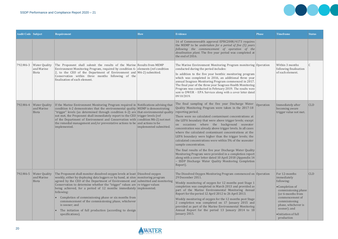

| <b>Audit Code Subject</b> |                                                    | Requirement                                                                                                                                                                                                                                                                                                                                                                                                                                                                                                                                                                                                                                | <b>How</b>             | <b>Evidence</b>                                                                                                                                                                                                                                                                                                                                                                                                                                                                                                                                                               | <b>Phase</b> | <b>Timeframe</b>                                                                                                                                                                                                          | <b>Status</b> |
|---------------------------|----------------------------------------------------|--------------------------------------------------------------------------------------------------------------------------------------------------------------------------------------------------------------------------------------------------------------------------------------------------------------------------------------------------------------------------------------------------------------------------------------------------------------------------------------------------------------------------------------------------------------------------------------------------------------------------------------------|------------------------|-------------------------------------------------------------------------------------------------------------------------------------------------------------------------------------------------------------------------------------------------------------------------------------------------------------------------------------------------------------------------------------------------------------------------------------------------------------------------------------------------------------------------------------------------------------------------------|--------------|---------------------------------------------------------------------------------------------------------------------------------------------------------------------------------------------------------------------------|---------------|
|                           |                                                    |                                                                                                                                                                                                                                                                                                                                                                                                                                                                                                                                                                                                                                            |                        | 16 of Commonwealth approval EPBC2008/4173 requires<br>the MEMP to be undertaken for a period of five $(5)$ years<br>$\begin{vmatrix}$ following the commencement of operation of the<br>desalination plant. The five year period was completed at<br>the end of 2016.                                                                                                                                                                                                                                                                                                         |              |                                                                                                                                                                                                                           |               |
| 792:M6-3                  | <b>Water Quality</b><br>and Marine<br><b>Biota</b> | The Proponent shall submit the results of the Marine Results from MEMP<br>Environment Monitoring Program, required by condition 6- elements (ref condition<br>2, to the CEO of the Department of Environment and $ M6-2 $ submitted.<br>Conservation within three months following of the<br>finalisation of each element.                                                                                                                                                                                                                                                                                                                 |                        | The Marine Environment Monitoring Program monitoring Operation<br>conducted during the period includes:<br>In addition to the five year benthic monitoring program<br>which was completed in 2016, an additional three year<br>annual Seagrass Monitoring Program commenced in 2017.<br>The final year of the three year Seagrass Health Monitoring<br>Program was conducted in February 2019. The results were<br>sent to DWER - EPA Services along with a cover letter dated<br>09/10/2019.                                                                                 |              | Within 3 months<br>following finalisation<br>of each element.                                                                                                                                                             | C.            |
| 792:M6-4                  | <b>Water Quality</b><br>and Marine<br>Biota        | If the Marine Environment Monitoring Program required in Notifications advising that<br>condition 6-2 demonstrates that the environmental quality MEMP is demonstrating<br>"trigger" levels (as determined through condition 6-2) are that environmental quality<br>not met, the Proponent shall immediately report to the CEO trigger levels (ref<br>of the Department of Environment and Conservation with condition M6-2) not met<br>the remedial management and/or preventative actions to be and actions to be<br>implemented.                                                                                                        | implemented submitted. | The final sampling of the five year Discharge Water<br>Quality Monitoring Program were taken in the 2017-18<br>reporting period.<br>There were no calculated contaminant concentrations at<br>the LEPA boundary that were above trigger levels; except<br>on occasions where the background seawater<br>concentration was already above trigger levels. In all cases<br>where the calculated contaminant concentrations at the<br>LEPA boundary were higher than the trigger levels; the<br>calculated concentrations were within 5% of the seawater<br>sample concentration. | Operation    | Immediately after<br>becoming aware<br>trigger value not met.                                                                                                                                                             | $ $ CLD       |
|                           |                                                    |                                                                                                                                                                                                                                                                                                                                                                                                                                                                                                                                                                                                                                            |                        | The final results of the five year Discharge Water Quality<br>Monitoring Program were provided in a completion report<br>along with a cover letter dated 10 April 2018 (Appendix 14<br>- SSDP Discharge Water Quality Monitoring Completion<br>Report).                                                                                                                                                                                                                                                                                                                       |              |                                                                                                                                                                                                                           |               |
| 792:M6-5                  | <b>Water Quality</b><br>and Marine<br>Biota        | The Proponent shall monitor dissolved oxygen levels at least Dissolved oxygen<br>weekly, either by deploying data loggers or by hand, at sites monitoring program<br>agreed by the CEO of the Department of Environment and submitted and monitoring<br>Conservation to determine whether the "trigger" values are $ $ re trigger values<br>being achieved, for a period of 12 months immediately implemented.<br>following:<br>Completion of commissioning phase or six months from<br>commencement of the commissioning phase, whichever<br>is sooner; and<br>The initiation of full production (according to design<br>specifications). |                        | The Dissolved Oxygen Monitoring Program commenced on Operation<br>29 December 2011.<br>Weekly monitoring of oxygen for 12 months post Stage 1<br>completion was completed in March 2013 and provided as<br>part of the Marine Environmental Monitoring Annual<br>Report for the period 12 April 2012 to 26 April 2013.<br>Weekly monitoring of oxygen for the 12 months post Stage<br>2 completion was completed on 17 January 2015 and<br>provided as part of the Marine Environmental Monitoring<br>Annual Report for the period 13 January 2014 to 18<br>January 2015.     |              | For 12-months<br>immediately<br>following:<br>•Completion of<br>commissioning phase<br>(or 6-months from<br>commencement of<br>commissioning<br>phase, whichever is<br>sooner); and<br>• Initiation of full<br>production | $ $ CLD       |



| <b>Phase</b> | <b>Timeframe</b>                                                                                                                                                                                                           | <b>Status</b> |
|--------------|----------------------------------------------------------------------------------------------------------------------------------------------------------------------------------------------------------------------------|---------------|
|              |                                                                                                                                                                                                                            |               |
| Operation    | Within 3 months<br>following finalisation<br>of each element.                                                                                                                                                              | C             |
| Operation    | Immediately after<br>becoming aware<br>trigger value not met.                                                                                                                                                              | <b>CLD</b>    |
| Operation    | For 12-months<br>immediately<br>following:<br>• Completion of<br>commissioning phase<br>(or 6-months from<br>commencement of<br>commissioning<br>phase, whichever is<br>sooner); and<br>· Initiation of full<br>production | <b>CLD</b>    |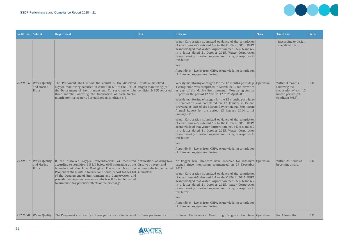

| <b>Audit Code Subject</b> |                                                 | Requirement                                                                                                                                                                                                                                                                                                                                                                                                                                                                                            | <b>How</b> | <b>Evidence</b>                                                                                                                                                                                                                                                                                                                                                                                                                                                                                                                                                                                                                                                                                                                                                                                                                                                                                                            | <b>Phase</b> | <b>Timeframe</b>                                                                                      | <b>Status</b> |
|---------------------------|-------------------------------------------------|--------------------------------------------------------------------------------------------------------------------------------------------------------------------------------------------------------------------------------------------------------------------------------------------------------------------------------------------------------------------------------------------------------------------------------------------------------------------------------------------------------|------------|----------------------------------------------------------------------------------------------------------------------------------------------------------------------------------------------------------------------------------------------------------------------------------------------------------------------------------------------------------------------------------------------------------------------------------------------------------------------------------------------------------------------------------------------------------------------------------------------------------------------------------------------------------------------------------------------------------------------------------------------------------------------------------------------------------------------------------------------------------------------------------------------------------------------------|--------------|-------------------------------------------------------------------------------------------------------|---------------|
|                           |                                                 |                                                                                                                                                                                                                                                                                                                                                                                                                                                                                                        |            | Water Corporation submitted evidence of the completion<br>of conditions 6-5, 6-6 and 6-7 to the OEPA in 2015. OEPA<br>acknowledged that Water Corporation met 6-5, 6-6 and 6-7<br>in a letter dated 21 October 2015. Water Corporation<br>ceased weekly dissolved oxygen monitoring in response to<br>this letter.<br>See:<br>Appendix 8 - Letter from OEPA acknowledging completion<br>of dissolved oxygen monitoring                                                                                                                                                                                                                                                                                                                                                                                                                                                                                                     |              | (according to design<br>specifications).                                                              |               |
|                           | 792:M6-6   Water Quality<br>and Marine<br>Biota | The Proponent shall report the results of the dissolved Results of dissolved<br>oxygen monitoring required in condition 6-5 to the CEO of oxygen monitoring (ref<br>the Department of Environment and Conservation within condition $M6-5$ ) reported.<br>three months following the finalisation of each twelve<br>month monitoring period as outlined in condition 6-5.                                                                                                                              |            | Weekly monitoring of oxygen for the 12 months post Stage Operation<br>1 completion was completed in March 2013 and provided<br>as part of the Marine Environmental Monitoring Annual<br>Report for the period 12 April 2012 to 26 April 2013.<br>Weekly monitoring of oxygen for the 12 months post Stage<br>2 completion was completed on 17 January 2015 and<br>provided as part of the Marine Environmental Monitoring<br>Annual Report for the period 13 January 2014 to 18<br>January 2015.<br>Water Corporation submitted evidence of the completion<br>of conditions 6-5, 6-6 and 6-7 to the OEPA in 2015. OEPA<br>acknowledged that Water Corporation met 6-5, 6-6 and 6-7<br>in a letter dated 21 October 2015. Water Corporation<br>ceased weekly dissolved oxygen monitoring in response to<br>this letter.<br>See:<br>Appendix 8 - Letter from OEPA acknowledging completion<br>of dissolved oxygen monitoring |              | Within 3 months<br>following the<br>finalisation of each 12-<br>month period (ref<br>condition M6.5). | <b>CLD</b>    |
| 792:M6-7                  | <b>Water Quality</b><br>and Marine<br>Biota     | If the dissolved oxygen concentrations as measured Notifications advising low<br>according to condition 6-5 fall below 60% saturation at the dissolved oxygen and<br>boundary of the Low Ecological Protection Area, the actions to be implemented<br>Proponent shall, within twenty-four hours, report to the CEO submitted.<br>of the Department of Environment and Conservation and<br>provide management measures which will be implemented<br>to minimise any potential effects of the discharge. |            | No trigger level breaches have occurred for dissolved Operation<br>oxygen since monitoring commenced on 29 December<br> 2011.<br>Water Corporation submitted evidence of the completion<br>of conditions 6-5, 6-6 and 6-7 to the OEPA in 2015. OEPA<br>acknowledged that Water Corporation met 6-5, 6-6 and 6-7<br>in a letter dated 21 October 2015. Water Corporation<br>ceased weekly dissolved oxygen monitoring in response to<br>this letter.<br>See:<br>Appendix 8 - Letter from OEPA acknowledging completion<br>of dissolved oxygen monitoring                                                                                                                                                                                                                                                                                                                                                                    |              | Within 24-hours of<br>becoming aware.                                                                 | <b>CLD</b>    |
| 792:M6-8                  | <b>Water Quality</b>                            | The Proponent shall verify diffuser performance in terms of Diffuser performance                                                                                                                                                                                                                                                                                                                                                                                                                       |            | Diffuser Performance Monitoring Program has been Operation                                                                                                                                                                                                                                                                                                                                                                                                                                                                                                                                                                                                                                                                                                                                                                                                                                                                 |              | For 12-months                                                                                         | <b>CLD</b>    |

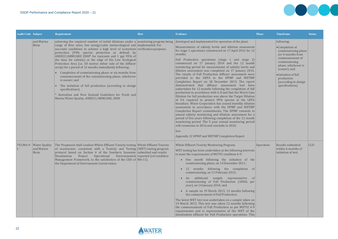| <b>Audit Code Subject</b> |                                                         | Requirement                                                                                                                                                                                                                                                                                                                                                                                                                                                                                                                                                                                                                                                                                                                                                                                                                                                             | <b>How</b> | <b>Evidence</b>                                                                                                                                                                                                                                                                                                                                                                                                                                                                                                                                                                                                                                                                                                                                                                                                                                                                                                                                                                                                                                                                                                                                                                                                                                                                                                                                | <b>Phase</b> | <b>Timeframe</b>                                                                                                                                                                                                                      | <b>Status</b> |
|---------------------------|---------------------------------------------------------|-------------------------------------------------------------------------------------------------------------------------------------------------------------------------------------------------------------------------------------------------------------------------------------------------------------------------------------------------------------------------------------------------------------------------------------------------------------------------------------------------------------------------------------------------------------------------------------------------------------------------------------------------------------------------------------------------------------------------------------------------------------------------------------------------------------------------------------------------------------------------|------------|------------------------------------------------------------------------------------------------------------------------------------------------------------------------------------------------------------------------------------------------------------------------------------------------------------------------------------------------------------------------------------------------------------------------------------------------------------------------------------------------------------------------------------------------------------------------------------------------------------------------------------------------------------------------------------------------------------------------------------------------------------------------------------------------------------------------------------------------------------------------------------------------------------------------------------------------------------------------------------------------------------------------------------------------------------------------------------------------------------------------------------------------------------------------------------------------------------------------------------------------------------------------------------------------------------------------------------------------|--------------|---------------------------------------------------------------------------------------------------------------------------------------------------------------------------------------------------------------------------------------|---------------|
|                           | and Marine<br>Biota                                     | achieving the required number of initial dilutions under a monitoring program being<br>range of flow rates, low energy/calm meteorological and implemented. For<br>sea-state conditions to achieve a high level of ecosystem verification purposes.<br>protection (99% species protection as defined by<br>ANZECC/ARMCANZ 2000* for toxicants and 1 ppt 95% of<br>the time for salinity) at the edge of the Low Ecological<br>Protection Area (i.e. 50 metres either side of the diffuser<br>array) for a period of 12 months immediately following:<br>Completion of commissioning phase or six months from<br>commencement of the commissioning phase, whichever<br>is sooner; and<br>The initiation of full production (according to design<br>specifications).<br>Australian and New Zealand Guidelines for Fresh and<br>Marine Water Quality, ANZECC/ARMCANZ, 2000 |            | developed and implemented for operation of the plant.<br>Measurements of salinity levels and dilution assessment<br>for stage 1 operations commenced on 17 April 2012 for 12<br>months.<br>Full Production operations (stage 1 and stage 2)<br>commenced on 17 January 2014 and the 12 month<br>monitoring period for measurement of salinity levels and<br>dilution assessment was completed on 17 January 2015.<br>The results of Full Production diffuser assessment were<br>provided to the OEPA in the DPMP and WETMP<br>Completion Report on 18 December 2015. The report<br>demonstrated that diffuser assessment had been<br>undertaken for 12 months following the completion of full<br>production in accordance with 6-8 and that the Worst Case<br>Dilution for full production was above the Target Dilution<br>of 9.6 required to protect 99% species at the LEPA<br>boundary. Water Corporation has ceased monthly dilution<br>assessment in accordance with the DPMP and WETMP<br>Completion Report commitments. The DPMP commits to<br>annual salinity monitoring and dilution assessment for a<br>period of five years following completion of the 12 month<br>monitoring period. The 5 year annual monitoring period<br>will commence in 2016 and conclude in 2020.<br>See:<br>Appendix 12 DPMP and WETMP Completion Report |              | following:<br>•Completion of<br>commissioning phase<br>(or 6-months from<br>commencement of<br>commissioning<br>phase, whichever is<br>sooner); and<br>• Initiation of full<br>production<br>(according to design<br>specifications). |               |
|                           | 792:M6-9-   Water Quality<br>and Marine<br><b>Biota</b> | The Proponent shall conduct Whole Effluent Toxicity testing Whole Effluent Toxicity<br>of wastewater, consistent with a Toxicity and Testing (WET) testing program<br>protocol based on Section 4 of the Southern Seawater submitted and results<br>Desalination Project Operational Environmental reported (ref condition<br>Management Framework, to the satisfaction of the CEO of $ M6-11 $ .<br>the Department of Environment Conservation.                                                                                                                                                                                                                                                                                                                                                                                                                        |            | Whole Effluent Toxicity Monitoring Program.<br>WET testing has been undertaken at the following intervals<br>to meet the requirements of MS792 condition 6-9:<br>One month following the initiation of the<br>commissioning phase, on 14 December 2011;<br>12 months following the completion of<br>$\bullet$<br>commissioning, on 11 February 2013;<br>• An additional sample representative of<br>commissioning of Full Production (100GL per<br>year), on 14 January 2014; and<br>• A sample on 19 March 2015, 12 months following<br>the commencement of Full Production.<br>The latest WET test was undertaken on a sample taken on<br>19 March 2015. This test was taken 12 months following<br>the commencement of Full Production as per MS792 6-9<br>requirements and is representative of the WET of the<br>desalination effluent for Full Production operations. This                                                                                                                                                                                                                                                                                                                                                                                                                                                               | Operation    | <b>Results submitted</b><br>within 6-months of<br>initiation of test.                                                                                                                                                                 | $ $ CLD       |





**DOOC**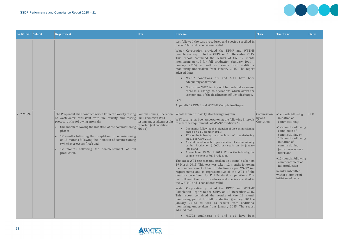| <b>Audit Code Subject</b> | Requirement                                                                                                                                                                                                                                                                                                                                                                                                                                                                                                                                   | <b>How</b>                                                           | <b>Evidence</b>                                                                                                                                                                                                                                                                                                                                                                                                                                                                                                                                                                                                                                                                                                                                                                                                                                                                                                                                                                                                                                                                                                                                                                                                                                                                                                    | <b>Phase</b>                           | <b>Timeframe</b>                                                                                                                                                                                                                                                                                                                                                    | <b>Status</b> |
|---------------------------|-----------------------------------------------------------------------------------------------------------------------------------------------------------------------------------------------------------------------------------------------------------------------------------------------------------------------------------------------------------------------------------------------------------------------------------------------------------------------------------------------------------------------------------------------|----------------------------------------------------------------------|--------------------------------------------------------------------------------------------------------------------------------------------------------------------------------------------------------------------------------------------------------------------------------------------------------------------------------------------------------------------------------------------------------------------------------------------------------------------------------------------------------------------------------------------------------------------------------------------------------------------------------------------------------------------------------------------------------------------------------------------------------------------------------------------------------------------------------------------------------------------------------------------------------------------------------------------------------------------------------------------------------------------------------------------------------------------------------------------------------------------------------------------------------------------------------------------------------------------------------------------------------------------------------------------------------------------|----------------------------------------|---------------------------------------------------------------------------------------------------------------------------------------------------------------------------------------------------------------------------------------------------------------------------------------------------------------------------------------------------------------------|---------------|
|                           |                                                                                                                                                                                                                                                                                                                                                                                                                                                                                                                                               |                                                                      | test followed the test procedures and species specified in<br>the WETMP and is considered valid.<br>Water Corporation provided the DPMP and WETMP<br>Completion Report to the OEPA on 18 December 2015.<br>This report contained the results of the 12 month<br>monitoring period for full production (January 2014 -<br>January 2015) as well as results from additional<br>monitoring undertaken from January 2015. The report<br>advised that:<br>MS792 conditions 6-9 and 6-11 have been<br>adequately addressed;<br>No further WET testing will be undertaken unless<br>$\bullet$<br>there is a change to operations which alters the<br>components of the desalination effluent discharge.<br>See:<br>Appendix 12 DPMP and WETMP Completion Report                                                                                                                                                                                                                                                                                                                                                                                                                                                                                                                                                           |                                        |                                                                                                                                                                                                                                                                                                                                                                     |               |
| 792:M6-9-                 | The Proponent shall conduct Whole Effluent Toxicity testing Commissioning, Operation, Whole Effluent Toxicity Monitoring Program.<br>of wastewater consistent with the toxicity and testing Full Production WET<br>protocol at the following intervals:<br>One month following the initiation of the commissioning<br>phase;<br>12 months following the completion of commissioning<br>or 18 months following the initiation of commissioning<br>(whichever occurs first); and<br>12 months following the commencement of full<br>production. | testing undertaken; results<br>reported (ref condition<br>$M6-11$ ). | WET testing has been undertaken at the following intervals<br>to meet the requirements of MS792 condition 6-9:<br>One month following the initiation of the commissioning<br>phase, on 14 December 2011;<br>12 months following the completion of commissioning,<br>on 11 February 2013;<br>An additional sample representative of commissioning<br>of Full Production (100GL per year), on 14 January<br>2014; and<br>A sample on 19 March 2015, 12 months following the<br>commencement of Full Production.<br>The latest WET test was undertaken on a sample taken on<br>19 March 2015. This test was taken 12 months following<br>the commencement of Full Production as per MS792 6-9<br>requirements and is representative of the WET of the<br>desalination effluent for Full Production operations. This<br>test followed the test procedures and species specified in<br>the WETMP and is considered valid.<br>Water Corporation provided the DPMP and WETMP<br>Completion Report to the OEPA on 18 December 2015.<br>This report contained the results of the 12 month<br>monitoring period for full production (January 2014 -<br>January 2015) as well as results from additional<br>monitoring undertaken from January 2015. The report<br>advised that:<br>• MS792 conditions 6-9 and 6-11 have been | Commissioni<br>$\log$ and<br>Operation | $\bullet$ 1-month following<br>initiation of<br>commissioning;<br>•12-months following<br>completion of<br>commissioning or<br>18-months following<br>initiation of<br>commissioning<br>(whichever occurs)<br>first); and<br>$\bullet$ 12-months following<br>commencement of<br>full production<br>Results submitted<br>within 6-months of<br>initiation of tests. | CLD           |





DOOC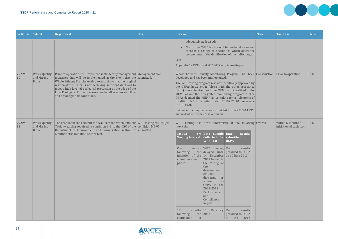

| <b>Audit Code Subject</b> |                                             | <b>Requirement</b>                                                                                                                                                                                                                                                                                                                                                                                                                                | <b>How</b> | <b>Evidence</b>                                                                                                                                                                                                                                                                                                                                                                                                                                                                                                                                                                                                                                                                                                              | <b>Phase</b> | <b>Timeframe</b>                               | <b>Status</b> |
|---------------------------|---------------------------------------------|---------------------------------------------------------------------------------------------------------------------------------------------------------------------------------------------------------------------------------------------------------------------------------------------------------------------------------------------------------------------------------------------------------------------------------------------------|------------|------------------------------------------------------------------------------------------------------------------------------------------------------------------------------------------------------------------------------------------------------------------------------------------------------------------------------------------------------------------------------------------------------------------------------------------------------------------------------------------------------------------------------------------------------------------------------------------------------------------------------------------------------------------------------------------------------------------------------|--------------|------------------------------------------------|---------------|
|                           |                                             |                                                                                                                                                                                                                                                                                                                                                                                                                                                   |            | adequately addressed;<br>• No further WET testing will be undertaken unless<br>there is a change to operations which alters the<br>components of the desalination effluent discharge.<br>See:<br>Appendix 12 DPMP and WETMP Completion Report                                                                                                                                                                                                                                                                                                                                                                                                                                                                                |              |                                                |               |
| 792:M6-<br>10             | <b>Water Quality</b><br>and Marine<br>Biota | Prior to operation, the Proponent shall identify management Management plan<br>measures that will be implemented in the event that the submitted.<br>Whole Effluent Toxicity testing results show that the original<br>wastewater diffuser is not achieving sufficient dilutions to<br>meet a high level of ecological protection at the edge of the<br>Low Ecological Protection Area under all wastewater flow<br>and oceanographic conditions. |            | Whole Effluent Toxicity Monitoring Program has been Construction Prior to operation.<br>developed and has been implemented.<br>The WET testing program was not specifically approved by<br>the OEPA; however, it (along with the other associated<br>plans) was submitted with the MEMP and identified in the<br>MEMP as one the "integrated monitoring programs". The<br>OEPA deemed the MEMP as complete for all elements of<br>condition 6.2 in a letter dated 23/02/2010 (reference<br>DEC11402).<br>Evidence of compliance was provided in the 2013-14 PCR<br>and no further evidence is required.                                                                                                                      |              |                                                | <b>CLD</b>    |
| 792:M6-<br>11             | <b>Water Quality</b><br>and Marine<br>Biota | The Proponent shall submit the results of the Whole Effluent   WET testing results (ref<br>Toxicity testing required in condition 6-9 to the CEO of the condition M6-9)<br>Department of Environment and Conservation within $six$ submitted.<br>months of the initiation of each test.                                                                                                                                                           |            | WET Testing has been undertaken at the following Overall<br>intervals:<br>$6-9$<br>Date Sample Date<br><b>Results</b><br><b>MS792</b><br>Collected for submitted<br><b>Testing Interval</b><br><b>OEPA</b><br><b>WET Test</b><br>month WET<br>testing Test<br>results<br>One<br>the delayed until provided to OEPA<br>following<br>initiation of the $14$ December on 10 June 2012.<br>2011 to enable<br>commissioning<br>the testing of<br>phase<br>the<br>desalination<br>effluent<br>discharge as<br>advised<br>to<br>OEPA in the<br>2011-2012<br>Performance<br>and<br>Compliance<br>Report.<br>months 11 February Test<br>results<br>12<br>following<br>the 2013<br>provided to OEPA<br>completion<br>of<br>in the 2013 |              | Within 6-months of<br>initiation of each test. | <b>CLD</b>    |

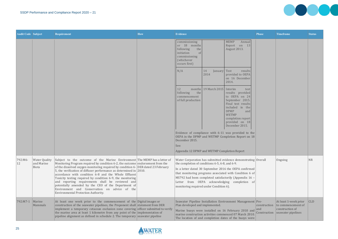| <b>Audit Code Subject</b> |                                                    | Requirement                                                                                                                                                                                                                                                                                                                                                                                                                                                                                                                                                                                                                                        | How | Evidence                                                                                                                         |                            |                                                                                                                                                                                                                                                                                               | <b>Phase</b>                        | <b>Timeframe</b>                                                                     | <b>Status</b> |
|---------------------------|----------------------------------------------------|----------------------------------------------------------------------------------------------------------------------------------------------------------------------------------------------------------------------------------------------------------------------------------------------------------------------------------------------------------------------------------------------------------------------------------------------------------------------------------------------------------------------------------------------------------------------------------------------------------------------------------------------------|-----|----------------------------------------------------------------------------------------------------------------------------------|----------------------------|-----------------------------------------------------------------------------------------------------------------------------------------------------------------------------------------------------------------------------------------------------------------------------------------------|-------------------------------------|--------------------------------------------------------------------------------------|---------------|
|                           |                                                    |                                                                                                                                                                                                                                                                                                                                                                                                                                                                                                                                                                                                                                                    |     | commissioning<br>or 18 months<br>following<br>the<br>initiation<br><sub>of</sub><br>commissioning<br>(whichever<br>occurs first) |                            | <b>MEMP</b><br>Annual<br>Report on 13<br>August 2013.                                                                                                                                                                                                                                         |                                     |                                                                                      |               |
|                           |                                                    |                                                                                                                                                                                                                                                                                                                                                                                                                                                                                                                                                                                                                                                    |     | N/A                                                                                                                              | January Test<br>14<br>2014 | results<br>provided to OEPA<br>on 16 December<br>2014.                                                                                                                                                                                                                                        |                                     |                                                                                      |               |
|                           |                                                    |                                                                                                                                                                                                                                                                                                                                                                                                                                                                                                                                                                                                                                                    |     | months<br>12<br>following<br>the<br>commencement<br>of full production                                                           | 19 March 2015              | Interim<br>test<br>results provided<br>to OEPA on 24<br>September 2015.<br>Final test results<br>included in the<br><b>DPMP</b><br>and<br><b>WETMP</b><br>completion report<br>provided on 18<br>December 2015.                                                                               |                                     |                                                                                      |               |
|                           |                                                    |                                                                                                                                                                                                                                                                                                                                                                                                                                                                                                                                                                                                                                                    |     | December 2015.<br>See:                                                                                                           |                            | Evidence of compliance with 6-11 was provided to the<br>OEPA in the DPMP and WETMP Completion Report on 18                                                                                                                                                                                    |                                     |                                                                                      |               |
|                           |                                                    |                                                                                                                                                                                                                                                                                                                                                                                                                                                                                                                                                                                                                                                    |     | Appendix 12 DPMP and WETMP Completion Report                                                                                     |                            |                                                                                                                                                                                                                                                                                               |                                     |                                                                                      |               |
| 792:M6-<br>12             | <b>Water Quality</b><br>and Marine<br><b>Biota</b> | Subject to the outcome of the Marine Environment The MEMP has a letter of<br>Monitoring Program required by condition 6-2, the outcome endorsement from the<br>of the dissolved oxygen monitoring required by condition 6- DER dated 23 February<br>5, the verification of diffuser performance as determined in $2010$ .<br>accordance with condition 6-8 and the Whole Effluent<br>Toxicity testing required by condition 6-9, the monitoring<br>and reporting requirements shall be reviewed and<br>potentially amended by the CEO of the Department of<br>Environment and Conservation on advice of the<br>Environmental Protection Authority. |     | the completion of conditions 6-5, 6-8, and 6-9.<br>monitoring required under Condition 6).                                       |                            | Water Corporation has submitted evidence demonstrating Overall<br>In a letter dated 30 September 2016 the OEPA confirmed<br>that monitoring programs associated with Condition 6 of<br>MS792 had been completed satisfactorily (Appendix 16 -<br>Letter from OEPA acknowledging completion of |                                     | Ongoing                                                                              | $N_{\rm R}$   |
| 792:M7-1                  | Marine<br>Mammals                                  | At least one week prior to the commencement of the Digital images or<br>construction of the seawater pipelines, the Proponent shall statement from DER<br>implement a temporary cetacean exclusion zone covering officer submitted to verify<br>the marine area at least 1 kilometre from any point of the implementation of<br>$\vert$ pipeline alignment as defined in schedule 2. The temporary seawater pipeline                                                                                                                                                                                                                               |     | Plan developed and implemented.                                                                                                  |                            | Seawater Pipeline Installation Environment Management Pre-<br>Marine buoys were installed on 16 February 2010 and<br>marine construction activities commenced 07 March 2010.<br>The location of and completion dates of the buoys were                                                        | construction<br>and<br>Construction | At least 1-week prior<br>to commencement of<br>construction of<br>seawater pipelines | CLD           |





**Contract State** 

DOOG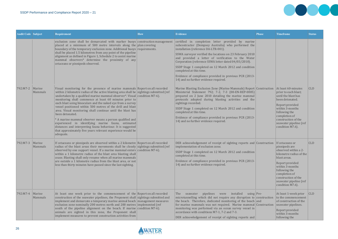| <b>Audit Code Subject</b> |                   | Requirement                                                                                                                                                                                                                                                                                                                                                                                                                                                                                                                                                                                                                                                                                                                                                                                 | <b>How</b> | <b>Evidence</b>                                                                                                                                                                                                                                                                                                                                                                                                                                                                                                    | <b>Phase</b> | <b>Timeframe</b>                                                                                                                                                                                                                                   | <b>Status</b> |
|---------------------------|-------------------|---------------------------------------------------------------------------------------------------------------------------------------------------------------------------------------------------------------------------------------------------------------------------------------------------------------------------------------------------------------------------------------------------------------------------------------------------------------------------------------------------------------------------------------------------------------------------------------------------------------------------------------------------------------------------------------------------------------------------------------------------------------------------------------------|------------|--------------------------------------------------------------------------------------------------------------------------------------------------------------------------------------------------------------------------------------------------------------------------------------------------------------------------------------------------------------------------------------------------------------------------------------------------------------------------------------------------------------------|--------------|----------------------------------------------------------------------------------------------------------------------------------------------------------------------------------------------------------------------------------------------------|---------------|
|                           |                   | exclusion zone shall be demarcated with marker buoys construction management<br>placed at a minimum of 500 metre intervals along the plan covering<br>boundary of the temporary exclusion zone. Additional buoys requirements.<br>shall be placed 1.5 kilometres from any point of the pipeline<br>alignment as defined in Figure 1, Schedule 2 to assist marine<br>mammal observers* determine the proximity of any<br>cetaceans or pinnipeds observed.                                                                                                                                                                                                                                                                                                                                    |            | certified in completion letter provided by marine<br>subcontractor (Dempsey Australia) who performed the<br>installation (reference DA-LTR-001).<br>SSWA surveyor verified the locations on 23 February 2010<br>and provided a letter of verification to the Water<br>Corporation (reference SSWA letter dated 04/03/2010).<br>SSDP Stage 1 completed on 12 March 2012 and condition<br>completed at this time.<br>Evidence of compliance provided in previous PCR (2013-<br>14) and no further evidence required. |              |                                                                                                                                                                                                                                                    |               |
| 792:M7-2                  | Marine<br>Mammals | Visual monitoring for the presence of marine mammals Report on all recorded<br>within 2 kilometre radius of the active blasting area shall be sightings submitted (ref<br>undertaken by a qualified marine mammal observer*. Visual $ $ condition M7-6).<br>monitoring shall commence at least 60 minutes prior to<br>each blast using binoculars and the naked eye from a survey<br>vessel positioned within 500 metres of the drill and blast<br>area. Visual monitoring shall continue until the blast has<br>been detonated.<br>* A marine mammal observer means a person qualified and<br>experienced in identifying marine fauna, estimated<br>distances and interpreting fauna behaviour. It is suggested<br>that approximately five years relevant experience would be<br>adequate. |            | Marine Blasting Exclusion Zone (Marine Mammals) Report Construction<br>Ministerial Statement 792; 7-2, 7-3 (00-EN-REP-0005)<br>prepared on 2 June 2010 detailing the marine mammal<br>protocols adopted during blasting activities and the<br>sightings recorded.<br>SSDP Stage 1 completed on 12 March 2012 and condition<br>completed at this time.<br>Evidence of compliance provided in previous PCR (2013-<br>14) and no further evidence required.                                                           |              | At least 60-minutes<br>prior to each blast;<br>until the blast has<br>been detonated.<br>Report provided<br>within 3-months<br>following the<br>completion of<br>construction of the<br>seawater pipeline (ref<br>condition M7.6).                 | <b>CLD</b>    |
| 792:M7-3                  | Marine<br>Mammals | If cetaceans or pinnipeds are observed within a 2 kilometre Report on all recorded<br>radius of the blast areas their movements shall be closely sightings submitted (ref<br>observed by one support vessel. If a marine mammal enters condition $M7-6$ ).<br>within a 1 kilometre radius of the blast area blasting shall<br>cease. Blasting shall only resume when all marine mammals<br>are outside a 1 kilometre radius from the blast area, or not<br>less than thirty minutes have passed since the last sighting.                                                                                                                                                                                                                                                                    |            | DER acknowledgement of receipt of sighting reports and Construction<br>implementation of exclusion zone.<br>SSDP Stage 1 completed on 12 March 2012 and condition<br>completed at this time.<br>Evidence of compliance provided in previous PCR (2013-<br>14) and no further evidence required.                                                                                                                                                                                                                    |              | If cetaceans or<br>pinnipeds are<br>observed within a 2-<br>kilometre radius of the<br>  blast areas.<br>Report provided<br>within 3-months<br>following the<br>completion of<br>construction of the<br>seawater pipeline (ref<br>condition M7.6). | $ $ CLD       |
| 792:M7-4                  | Marine<br>Mammals | At least one week prior to the commencement of the Report on all recorded<br>construction of the seawater pipelines, the Proponent shall sightings submitted and<br>implement and demarcate a temporary marine animal beach management measures<br>exclusion zone nominally 200 metres north and 200 metres implemented (ref<br>south of the pipeline alignment on the beach. If marine condition M7-6).<br>animals are sighted in this zone, the Proponent shall<br>implement measures to prevent construction activities from                                                                                                                                                                                                                                                             |            | The seawater pipelines were installed<br>using $Pre-$<br>microtunnelling which did not require any disruption to construction<br>the beach. Therefore, dedicated monitoring of the beach and<br>for marine mammals was not required. Marine mammal Construction<br>monitoring was performed via an ocean survey vessel in<br>accordance with conditions M7-1, 7-2 and 7-3.<br>DER acknowledgement of receipt of sighting reports and                                                                               |              | At least 1-week prior<br>to the commencement<br>of construction of the<br>seawater pipelines.<br>Report provided<br>within 3-months<br>following the                                                                                               | CLD           |





**DOCK**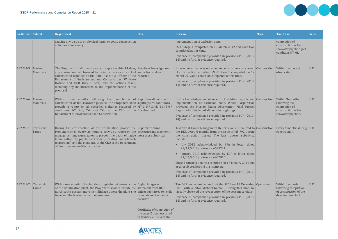

| <b>Audit Code Subject</b> |                      | Requirement                                                                                                                                                                                                                                                                                                                                                                                                                              | <b>How</b>                                                                                                                    | <b>Evidence</b>                                                                                                                                                                                                                                                                                                                                                                                                                                                                                                                                                                      | <b>Phase</b> | <b>Timeframe</b>                                                                               | <b>Status</b> |
|---------------------------|----------------------|------------------------------------------------------------------------------------------------------------------------------------------------------------------------------------------------------------------------------------------------------------------------------------------------------------------------------------------------------------------------------------------------------------------------------------------|-------------------------------------------------------------------------------------------------------------------------------|--------------------------------------------------------------------------------------------------------------------------------------------------------------------------------------------------------------------------------------------------------------------------------------------------------------------------------------------------------------------------------------------------------------------------------------------------------------------------------------------------------------------------------------------------------------------------------------|--------------|------------------------------------------------------------------------------------------------|---------------|
|                           |                      | causing any distress or physical harm, or cease construction<br>activities if necessary.                                                                                                                                                                                                                                                                                                                                                 |                                                                                                                               | implementation of exclusion zone.<br>SSDP Stage 1 completed on 12 March 2012 and condition<br>completed at this time.<br>Evidence of compliance provided in previous PCR (2013-<br>14) and no further evidence required.                                                                                                                                                                                                                                                                                                                                                             |              | completion of<br>construction of the<br>seawater pipeline (ref<br>condition M7-6).             |               |
| 792:M7-5                  | Marine<br>Mammals    | The Proponent shall investigate and report within 14 days, Results of investigation<br>any marine animal observed to be in distress as a result of and actions taken<br>construction activities to the Chief Executive Officer of the reported.<br>Department of Environment and Conservation (Wildcare<br>Hotline and DER Duty Officer) and the actions taken,<br>including any modifications to the implementation of the<br>proposal. |                                                                                                                               | No marine animal was observed to be in distress as a result Construction<br>of construction activities. SSDP Stage 1 completed on 12<br>March 2012 and condition completed at this time.<br>Evidence of compliance provided in previous PCR (2013-<br>14) and no further evidence required.                                                                                                                                                                                                                                                                                          |              | Within 14-days of<br>observation.                                                              | <b>CLD</b>    |
| 792:M7-6                  | Marine<br>Mammals    | Within three months following the completion of Report on all recorded<br>construction of the seawater pipeline, the Proponent shall sightings (ref conditions<br>provide a report on all recorded sightings required by $ M$ 7-2, M7-3, M7-4 and M7<br>conditions 7-2, 7-3, 7-4 and 7-5, to the CEO of the $ 5)$ submitted.<br>Department of Environment and Conservation.                                                              |                                                                                                                               | DEC acknowledgement of receipt of sighting reports and Construction<br>implementation of exclusion zone. Water Corporation<br>provided the Marine Fauna Observation Final Project<br>Report which included all recorded sightings.<br>Evidence of compliance provided in previous PCR (2013-<br>14) and no further evidence required.                                                                                                                                                                                                                                                |              | Within 3-months<br>following the<br>completion of<br>construction of the<br>seawater pipeline. | <b>CLD</b>    |
| 792:M8-1                  | Terrestrial<br>Fauna | During the construction of the desalination project the Reports on fauna<br>Proponent shall, every six months, provide a report on the protection management<br>management measures taken to prevent the death of native measures submitted.<br>fauna within the pipeline corridor (including fauna trench<br>inspections) and the plant site, to the CEO of the Department<br>of Environment and Conservation.                          |                                                                                                                               | Terrestrial Fauna Management Reports were submitted to Construction<br>the DER every 6 months from the issue of MS 792 during<br>the construction period. The last reports submitted<br>include:<br>July 2012 acknowledged by EPA in letter dated<br>22/11/2012 (reference A538231).<br>January 2013 acknowledged by EPA in letter dated<br>27/02/2013 (reference A602970).<br>Stage 2 construction was complete on 17 January 2014 and<br>as a result condition 8-1 is complete.<br>Evidence of compliance provided in previous PCR (2013-<br>14) and no further evidence required. |              | Every 6 months during CLD<br>construction.                                                     |               |
| 792:M8-2                  | Terrestrial<br>Fauna | Within one month following the completion of construction Digital images or<br>of the desalination plant, the Proponent shall re-instate the statement from DER<br>north-south possum movement linkage across the plant site officer submitted to verify<br>to permit the free movement of possums.                                                                                                                                      | reinstatement of fauna<br>corridor.<br>Certificate of completion of<br>the stage 2 plant occurred<br>in January 2014 with the | The DER undertook an audit of the SSDP on 11 December Operation<br>2013 with auditor Michael Gartrell. During this time, he<br>visually observed the revegetation of the possum corridor.<br>Evidence of compliance provided in previous PCR (2013-<br>14) and no further evidence required.                                                                                                                                                                                                                                                                                         |              | Within 1-month<br>following completion<br>of construction of the<br>desalination plant.        | <b>CLD</b>    |

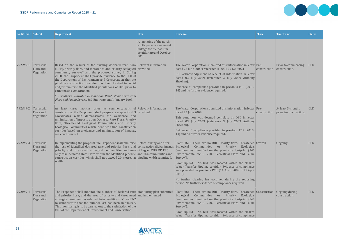

| <b>Audit Code Subject</b> |                                        | Requirement                                                                                                                                                                                                                                                                                                                                                                                                                                                                                                                                                                                                             | <b>How</b>                                                                                                        | <b>Evidence</b>                                                                                                                                                                                                                                                                                                                                                                                                                                                                                                                                            | <b>Phase</b> | <b>Timeframe</b>                            | <b>Status</b> |
|---------------------------|----------------------------------------|-------------------------------------------------------------------------------------------------------------------------------------------------------------------------------------------------------------------------------------------------------------------------------------------------------------------------------------------------------------------------------------------------------------------------------------------------------------------------------------------------------------------------------------------------------------------------------------------------------------------------|-------------------------------------------------------------------------------------------------------------------|------------------------------------------------------------------------------------------------------------------------------------------------------------------------------------------------------------------------------------------------------------------------------------------------------------------------------------------------------------------------------------------------------------------------------------------------------------------------------------------------------------------------------------------------------------|--------------|---------------------------------------------|---------------|
|                           |                                        |                                                                                                                                                                                                                                                                                                                                                                                                                                                                                                                                                                                                                         | re-instating of the north-<br>south possum movement<br>linkage for the possum<br>corridor around October<br>2013. |                                                                                                                                                                                                                                                                                                                                                                                                                                                                                                                                                            |              |                                             |               |
| 792:M9-1                  | Terrestrial<br>Flora and<br>Vegetation | Based on the results of the existing declared rare flora Relevant information<br>(DRF), priority flora, and threatened and priority ecological provided.<br>community surveys* and the proposed survey in Spring<br>2008, the Proponent shall provide evidence to the CEO of<br>the Department of Environment and Conservation that the<br>pipeline construction corridor has been located to avoid<br>and/or minimise the identified populations of DRF prior to<br>commencing construction.<br>* - Southern Seawater Desalination Plant: 2007 Terrestrial<br>Flora and Fauna Survey, 360 Environmental, January 2008. |                                                                                                                   | The Water Corporation submitted this information in letter Pre-<br>dated 25 June 2009 (reference JT 2007 07426 V02).<br>DEC acknowledgement of receipt of information in letter<br>dated 03 July 2009 (reference 3 July 2009 Anthony<br>Sheehan).<br>Evidence of compliance provided in previous PCR (2013-<br>14) and no further evidence required.                                                                                                                                                                                                       | construction | Prior to commencing<br>construction.        | CLD           |
| 792:M9-2                  | Terrestrial<br>Flora and<br>Vegetation | At least three months prior to commencement of Relevant information<br>construction, the Proponent shall prepare a map with $GIS$ provided.<br>coordinates which demonstrates the avoidance and<br>minimisation of impacts upon Declared Rare Flora, Priority<br>flora, Threatened Ecological Communities and Priority<br>Ecological Communities which identifies a final construction<br>corridor based on avoidance and minimisation of impacts,<br>see condition 9-1.                                                                                                                                                |                                                                                                                   | The Water Corporation submitted this information in letter Pre-<br>dated 25 June 2009.<br>This condition was deemed complete by DEC in letter<br>dated 03 July 2009 (reference 3 July 2009 Anthony<br>Sheehan).<br>Evidence of compliance provided in previous PCR (2013-<br>14) and no further evidence required.                                                                                                                                                                                                                                         | construction | At least 3-months<br>prior to construction. | <b>CLD</b>    |
| 792:M9-3                  | Terrestrial<br>Flora and<br>Vegetation | In implementing the proposal, the Proponent shall minimise Before, during and after<br>the loss of identified declared rare and priority flora, and construction digital images Ecological<br>priority and threatened ecological communities and may of flagged DRF, PF, PEC<br>only take declared Rare Flora within the identified pipeline and TEC communities and<br>construction corridor which shall not exceed 20 metres in pipeline width submitted.<br>width.                                                                                                                                                   |                                                                                                                   | Plant Site - There are no DRF, Priority flora, Threatened $\alpha$<br>Communities or Priority<br>Ecological<br>Communities identified on the plant site footprint (360<br>Environmental "SSDP 2007 Terrestrial Flora and Fauna<br>$ Survey"$ ).<br>Boonilup Rd - No DRF was located within the cleared<br>Water Transfer Pipeline corridor. Evidence of compliance<br>was provided in previous PCR (14 April 2009 to13 April<br>$ 2010$ ).<br>No further clearing has occurred during the reporting<br>period. No further evidence of compliance required. |              | Ongoing.                                    | <b>CLD</b>    |
| 792:M9-4                  | Terrestrial<br>Flora and<br>Vegetation | The Proponent shall monitor the number of declared rare Monitoring plan submitted<br>and priority flora, and the area of priority and threatened and implemented.<br>ecological communities referred to in conditions 9-1 and 9-2<br>to demonstrate that the number lost has been minimised.<br>This monitoring is to be carried out to the satisfaction of the<br>CEO of the Department of Environment and Conservation.                                                                                                                                                                                               |                                                                                                                   | Plant Site - There are no DRF, Priority flora, Threatened Construction<br>Ecological Communities or Priority Ecological<br>Communities identified on the plant site footprint (360<br>Environmental "SSDP 2007 Terrestrial Flora and Fauna<br>Survey").<br>Boonilup Rd - No DRF was located within the cleared<br>Water Transfer Pipeline corridor. Evidence of compliance                                                                                                                                                                                 |              | Ongoing during<br>construction.             | <b>CLD</b>    |

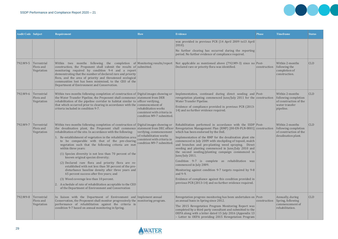

| <b>Audit Code Subject</b> |                                        | Requirement                                                                                                                                                                                                                                                                                                                                                                                                                                                                                                                                                                                                                                                                                                                                                                                                                                                                                                                   | <b>How</b>                                                                                                     | <b>Evidence</b>                                                                                                                                                                                                                                                                                                                                                                                                                                                                                                                                                                                                                                                                                                                                                       | <b>Phase</b> | Timeframe                                                                                        | <b>Status</b> |
|---------------------------|----------------------------------------|-------------------------------------------------------------------------------------------------------------------------------------------------------------------------------------------------------------------------------------------------------------------------------------------------------------------------------------------------------------------------------------------------------------------------------------------------------------------------------------------------------------------------------------------------------------------------------------------------------------------------------------------------------------------------------------------------------------------------------------------------------------------------------------------------------------------------------------------------------------------------------------------------------------------------------|----------------------------------------------------------------------------------------------------------------|-----------------------------------------------------------------------------------------------------------------------------------------------------------------------------------------------------------------------------------------------------------------------------------------------------------------------------------------------------------------------------------------------------------------------------------------------------------------------------------------------------------------------------------------------------------------------------------------------------------------------------------------------------------------------------------------------------------------------------------------------------------------------|--------------|--------------------------------------------------------------------------------------------------|---------------|
|                           |                                        |                                                                                                                                                                                                                                                                                                                                                                                                                                                                                                                                                                                                                                                                                                                                                                                                                                                                                                                               |                                                                                                                | was provided in previous PCR (14 April 2009 to13 April<br>$2010$ ).<br>No further clearing has occurred during the reporting<br>period. No further evidence of compliance required.                                                                                                                                                                                                                                                                                                                                                                                                                                                                                                                                                                                   |              |                                                                                                  |               |
| 792:M9-5                  | Terrestrial<br>Flora and<br>Vegetation | Within two months following the completion of Monitoring results/report<br>construction, the Proponent shall submit the results of submitted.<br>monitoring required by condition 9-4 and a report<br>demonstrating that the number of declared rare and priority<br>flora, and the area of priority and threatened ecological<br>communities lost has been minimised, to the CEO of the<br>Department of Environment and Conservation.                                                                                                                                                                                                                                                                                                                                                                                                                                                                                       |                                                                                                                | Not applicable as mentioned above (792:M9-3) since no Post-<br>Declared rare or priority flora was identified.                                                                                                                                                                                                                                                                                                                                                                                                                                                                                                                                                                                                                                                        | construction | Within 2-months<br>following the<br>completion of<br>construction.                               | <b>CLD</b>    |
| 792:M9-6                  | Terrestrial<br>Flora and<br>Vegetation | Within two months following completion of construction of Digital images showing or<br>the Water Transfer Pipeline, the Proponent shall commence statement from DER<br>rehabilitation of the pipeline corridor to habitat similar to officer verifying,<br>that which occurred prior to clearing in accordance with the commencement of<br>criteria included in condition 9-7.                                                                                                                                                                                                                                                                                                                                                                                                                                                                                                                                                | rehabilitation works<br>consistent with criteria in<br>condition M9-7 submitted.                               | Implementation, continued during direct seeding and Post-<br>revegetation planting commenced June/July 2011 for the construction<br>Water Transfer Pipeline.<br>Evidence of compliance provided in previous PCR (2013-<br>14) and no further evidence required.                                                                                                                                                                                                                                                                                                                                                                                                                                                                                                       |              | Within 2-months<br>following completion<br>of construction of the<br>water transfer<br>pipeline. | <b>CLD</b>    |
| 792:M9-7                  | Terrestrial<br>Flora and<br>Vegetation | Within two months following completion of construction of Digital images showing or<br>the desalination plant, the Proponent shall commence statement from DEC officer<br>rehabilitation of the site. In accordance with the following:<br>1. Re-establishment of vegetation in the rehabilitation area<br>to be comparable with that of the pre-clearing<br>vegetation such that the following criteria are met<br>within three years:<br>(1) Species diversity is not less than 70 percent of the<br>known original species diversity;<br>(2) Declared rare flora and priority flora are re-<br>established with not less than 50 percent of the pre-<br>disturbance baseline density after three years and<br>65 percent success after five years; and<br>(3) Weed coverage less than 10 percent.<br>$ 2.$ A schedule of rate of rehabilitation acceptable to the CEO<br>of the Department of Environment and Conservation | verifying, commencement<br>of rehabilitation works<br>consistent with criteria in<br>condition M9-7 submitted. | Rehabilitation performed in accordance with the SSDP Post-<br>Revegetation Management Plan (RMP) [00-EN-PLN-0001] construction<br>which has been endorsed by the DoE.<br>Implementation of the RMP for the desalination plant site<br>commenced in July 2009 with stockpiling of topsoil, mulch<br>and branches and pre-planting weed spraying. Direct<br>seeding and planting commenced in June/July 2010 and<br>the second seeding/planting campaign commenced in<br>June/July 2011.<br>Condition 9-7 is complete as rehabilitation was<br>commenced in July 2009.<br>Monitoring against condition 9-7 targets required by 9-8<br>and 9-9.<br>Evidence of compliance against this condition provided in<br>previous PCR (2013-14) and no further evidence required. |              | Within 2-months<br>following completion<br>of construction of the<br>desalination plant.         | <b>CLD</b>    |
| 792:M9-8                  | Terrestrial<br>Flora and<br>Vegetation | In liaison with the Department of Environment and Implement annual<br>Conservation, the Proponent shall monitor progressively the monitoring program.<br>performance of rehabilitation against the criteria in<br>condition 9-7 based on annual monitoring in Spring.                                                                                                                                                                                                                                                                                                                                                                                                                                                                                                                                                                                                                                                         |                                                                                                                | Revegetation progress monitoring has been undertaken on Post-<br>an annual basis in Spring since 2012.<br>The 2015 Revegetation Program Monitoring Report was<br>completed by a third party consultant and submitted to the<br>OEPA along with a letter dated 15 July 2016 (Appendix 13<br>Letter to OEPA providing 2015 Revegetation Program                                                                                                                                                                                                                                                                                                                                                                                                                         | construction | Annually, during<br>Spring, following<br>commencement of<br>rehabilitation.                      | <b>CLD</b>    |

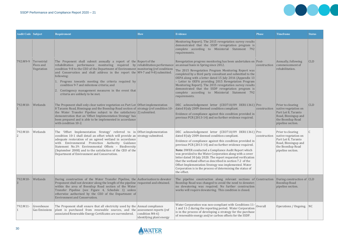

| <b>Audit Code Subject</b> |                                        | Requirement                                                                                                                                                                                                                                                                                                                                                                                                                                                                                                                                   | <b>How</b>                                     | <b>Evidence</b>                                                                                                                                                                                                                                                                                                                                                                                                                                                                                                                                                                                                        | <b>Phase</b> | <b>Timeframe</b>                                                                                                                  | <b>Status</b> |
|---------------------------|----------------------------------------|-----------------------------------------------------------------------------------------------------------------------------------------------------------------------------------------------------------------------------------------------------------------------------------------------------------------------------------------------------------------------------------------------------------------------------------------------------------------------------------------------------------------------------------------------|------------------------------------------------|------------------------------------------------------------------------------------------------------------------------------------------------------------------------------------------------------------------------------------------------------------------------------------------------------------------------------------------------------------------------------------------------------------------------------------------------------------------------------------------------------------------------------------------------------------------------------------------------------------------------|--------------|-----------------------------------------------------------------------------------------------------------------------------------|---------------|
|                           |                                        |                                                                                                                                                                                                                                                                                                                                                                                                                                                                                                                                               |                                                | Monitoring Report). The 2015 revegetation survey results<br>demonstrated that the SSDP revegetation program is<br>complete according to Ministerial Statement 792<br>requirements.                                                                                                                                                                                                                                                                                                                                                                                                                                     |              |                                                                                                                                   |               |
| 792:M9-9                  | Terrestrial<br>Flora and<br>Vegetation | The Proponent shall submit annually a report of the Report of the<br>$ $ rehabilitation performance monitoring required by rehabilitation performance<br>condition 9-8 to the CEO of the Department of Environment monitoring (ref conditions<br>and Conservation and shall address in the report the $ M9-7$ and 9-8) submitted.<br>following:<br>1. Progress towards meeting the criteria required by<br>condition 9-7 and milestone criteria; and<br>Contingency management measures in the event that<br>criteria are unlikely to be met. |                                                | Revegetation progress monitoring has been undertaken on Post-<br>an annual basis in Spring since 2012.<br>The 2015 Revegetation Program Monitoring Report was<br>completed by a third party consultant and submitted to the<br>OEPA along with a letter dated 15 July 2016 (Appendix 13<br>- Letter to OEPA providing 2015 Revegetation Program<br>Monitoring Report). The 2015 revegetation survey results<br>demonstrated that the SSDP revegetation program is<br>complete according to Ministerial Statement 792<br>requirements.                                                                                  | construction | Annually, following<br>commencement of<br>rehabilitation.                                                                         | <b>CLD</b>    |
| 792:M10-                  | Wetlands                               | The Proponent shall only clear native vegetation on Part Lot Offset implementation<br>8 Taranto Road, Binningup and the Boonilup Road section of strategy (ref condition 10<br>the Water Transfer Pipeline subject to the satisfactory $ 2)$ submitted.<br>demonstration that an 'Offset Implementation Strategy' has<br>been prepared and is able to be implemented in accordance<br>with condition 10-2.                                                                                                                                    |                                                | DEC acknowledgement letter (CEO710/09 DER11361) Pre-<br>dated 8 July 2009 deemed condition compliant.<br>Evidence of compliance against this condition provided in<br>previous PCR (2013-14) and no further evidence required.                                                                                                                                                                                                                                                                                                                                                                                         | construction | Prior to clearing<br>native vegetation on<br>Part Lot 8, Taranto<br>Road, Binningup and<br>the Boonilup Road<br>pipeline section. | <b>CLD</b>    |
| 792:M10-                  | Wetlands                               | The 'Offset Implementation Strategy' referred to in Offset implementation<br>condition 10-1 shall detail an offset which will provide an strategy submitted.<br>adequate restoration of an agreed wetland in accordance<br>with Environmental Protection Authority Guidance<br>Statement No.19: Environmental Offsets - Biodiversity<br>(September 2008) and to the satisfaction of the CEO of the<br>Department of Environment and Conservation.                                                                                             |                                                | DEC acknowledgement letter (CEO710/09 DER11361) Pre-<br>dated 8 July 2009 deemed condition compliant.<br>Evidence of compliance against this condition provided in<br>previous PCR (2013-14) and no further evidence required.<br>Note: DWER conducted a Compliance Audit Report which<br>was provided to the Water Corporation along with a cover<br>letter dated 30 July 2020. The report requested verification<br>that the wetland offset as described in section 7.2 of the<br>Offset Implementation Strategy was implemented. Water<br>Corporation is in the process of determining the status of<br>the offset. | construction | Prior to clearing<br>native vegetation on<br>Part Lot 8, Taranto<br>Road, Binningup and<br>the Boonilup Road<br>pipeline section. |               |
| 792:M10-                  | Wetlands                               | During construction of the Water Transfer Pipeline, the Authorisation to dewater<br>Proponent shall not dewater along the length of the pipeline requested and obtained.<br>within the area of Boonilup Road section of the Water<br>Transfer Pipeline (see Figure 4, Schedule 1) unless<br>otherwise authorised by the CEO of the Department of<br><b>Environment and Conservation.</b>                                                                                                                                                      |                                                | The pipeline construction along relevant sections of Construction<br>Boonilup Road was changed to avoid the need to dewater;<br>no dewatering was required. No further construction<br>works will require dewatering. This condition is closed.                                                                                                                                                                                                                                                                                                                                                                        |              | During construction of $ CLD $<br><b>Boonilup Road</b><br>pipeline section.                                                       |               |
| 792:M11-                  | Greenhouse<br><b>Gas Emissions</b>     | The Proponent shall ensure that all electricity used by the Annual compliance<br>plant is purchased from renewable sources, and the assessment reports (ref<br>associated Renewable Energy Certificates are surrendered.                                                                                                                                                                                                                                                                                                                      | condition $M4-6$ )<br>identifying plant energy | Water Corporation was non-compliant with Conditions 11-<br>1 and 11-2 during the reporting period. Water Corporation<br>is in the process of developing a strategy for the purchase<br>of renewable energy and/or carbon offsets for the SSDP.                                                                                                                                                                                                                                                                                                                                                                         | Overall      | Operations / Ongoing.   NC                                                                                                        |               |

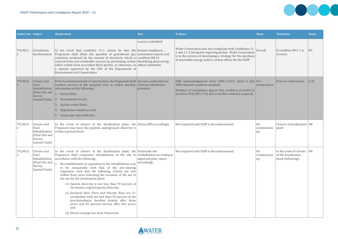

| <b>Audit Code Subject</b> |                                                                                     | <b>Requirement</b>                                                                                                                                                                                                                                                                                                                                                                                                                                                                                                                                                                                                                                                                                                                                                                                                                        | <b>How</b>                            | <b>Evidence</b>                                                                                                                                                                                                                                | <b>Phase</b>             | <b>Timeframe</b>                                                        | <b>Status</b> |
|---------------------------|-------------------------------------------------------------------------------------|-------------------------------------------------------------------------------------------------------------------------------------------------------------------------------------------------------------------------------------------------------------------------------------------------------------------------------------------------------------------------------------------------------------------------------------------------------------------------------------------------------------------------------------------------------------------------------------------------------------------------------------------------------------------------------------------------------------------------------------------------------------------------------------------------------------------------------------------|---------------------------------------|------------------------------------------------------------------------------------------------------------------------------------------------------------------------------------------------------------------------------------------------|--------------------------|-------------------------------------------------------------------------|---------------|
|                           |                                                                                     |                                                                                                                                                                                                                                                                                                                                                                                                                                                                                                                                                                                                                                                                                                                                                                                                                                           | sources submitted.                    |                                                                                                                                                                                                                                                |                          |                                                                         |               |
| 792:M11-                  | Greenhouse<br><b>Gas Emissions</b>                                                  | In the event that condition 11-1 cannot be met, the Annual compliance<br>Proponent shall offset the quantity of greenhouse gas assessment reports (ref<br>emissions produced by the amount of electricity which is condition M4-6)<br>sourced from non-renewable sources by purchasing carbon identifying plant energy<br>offset credits from accredited third parties, or otherwise, in offsets submitted.<br>a manner approved by the CEO of the Department of<br>Environment and Conservation.                                                                                                                                                                                                                                                                                                                                         |                                       | Water Corporation was non-compliant with Conditions 11-<br>1 and 11-2 during the reporting period. Water Corporation<br>is in the process of developing a strategy for the purchase<br>of renewable energy and/or carbon offsets for the SSDP. | Overall                  | If condition M11-1 is<br>not met.                                       | NC            |
| 792:M12-                  | Closure and<br>Final<br>Rehabilitation<br>(Plant Site and<br>Harvey<br>Summit Tank) | Prior to commencement of construction, the Proponent shall Surveys conducted and<br>conduct surveys of the proposal area to collect baseline relevant information<br>information on the following:<br>1. Soil profiles;<br>2. Groundwater levels;<br>3. Surface water flows;<br>Vegetation complexes; and<br>4.<br>Landscape and landforms.<br>5.                                                                                                                                                                                                                                                                                                                                                                                                                                                                                         | provided.                             | DER acknowledgement letter (DEC11361) dated 6 July Pre-<br>2009 deemed condition complete.<br>Evidence of compliance against this condition provided in<br>previous PCR (2013-14) and no further evidence required.                            | construction             | Prior to construction.                                                  | <b>CLD</b>    |
| 792:M12-                  | Closure and<br>Final<br>Rehabilitation<br>(Plant Site and<br>Harvey<br>Summit Tank) | In the event of closure of the desalination plant, the Advise DER accordingly.<br>Proponent may leave the pipeline underground, wherever it<br>is below ground level.                                                                                                                                                                                                                                                                                                                                                                                                                                                                                                                                                                                                                                                                     |                                       | Not required until SSDP is decommissioned.                                                                                                                                                                                                     | De-<br>commissioni<br>ng | Closure of desalination NR<br>plant.                                    |               |
| 792:M12-                  | Closure and<br>Final<br>Rehabilitation<br>(Plant Site and<br>Harvey<br>Summit Tank) | In the event of closure of the desalination plant, the Undertake site<br>Proponent shall commence rehabilitation of the site in rehabilitation according to<br>accordance with the following:<br>1. Re-establishment of vegetation in the rehabilitation area<br>to be comparable with that of the pre-clearing<br>vegetation such that the following criteria are met<br>within three years following the cessation of the use of<br>the site for the desalination plant:<br>(1) Species diversity is not less than 70 percent of<br>the known original species diversity;<br>(2) Declared Rare Flora and Priority flora are re-<br>established with not less than 50 percent of the<br>pre-disturbance baseline density after three<br>years and 65 percent success after five years;<br>and<br>(3) Weed coverage less than 10 percent. | approved plan; report<br>accordingly. | Not required until SSDP is decommissioned.                                                                                                                                                                                                     | De-<br>commissioni<br>ng | In the event of closure NR<br>of the desalination<br>plant (following). |               |

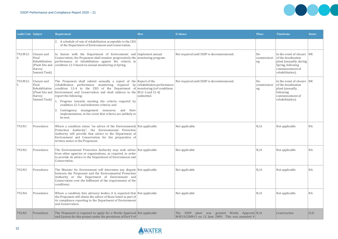

| <b>Audit Code Subject</b> |                                                                                     | <b>Requirement</b>                                                                                                                                                                                                                                                                                                                                                                                                                                                                                                                                                      | <b>How</b> | <b>Evidence</b>                                                                                   | <b>Phase</b>             | Timeframe                                                                                                                                | <b>Status</b> |
|---------------------------|-------------------------------------------------------------------------------------|-------------------------------------------------------------------------------------------------------------------------------------------------------------------------------------------------------------------------------------------------------------------------------------------------------------------------------------------------------------------------------------------------------------------------------------------------------------------------------------------------------------------------------------------------------------------------|------------|---------------------------------------------------------------------------------------------------|--------------------------|------------------------------------------------------------------------------------------------------------------------------------------|---------------|
|                           |                                                                                     | 2. A schedule of rate of rehabilitation acceptable to the CEO<br>of the Department of Environment and Conservation.                                                                                                                                                                                                                                                                                                                                                                                                                                                     |            |                                                                                                   |                          |                                                                                                                                          |               |
| 792:M12-<br>4             | Closure and<br>Final<br>Rehabilitation<br>Harvey<br>Summit Tank)                    | In liaison with the Department of Environment and Implement annual<br>Conservation, the Proponent shall monitor progressively the monitoring program.<br>performance of rehabilitation against the criteria in<br>(Plant Site and   condition 12-3 based on annual monitoring in Spring.                                                                                                                                                                                                                                                                                |            | Not required until SSDP is decommissioned.                                                        | De-<br>commissioni<br>ng | In the event of closure NR<br>of the desalination<br>plant (annually, during<br>Spring, following<br>commencement of<br>rehabilitation). |               |
| 792:M12-                  | Closure and<br>Final<br>Rehabilitation<br>(Plant Site and<br>Harvey<br>Summit Tank) | The Proponent shall submit annually a report of the Report of the<br>$\vert$ rehabilitation performance monitoring required by rehabilitation performance<br>condition 12-4 to the CEO of the Department of monitoring (ref conditions<br>Environment and Conservation and shall address in the $M12-3$ and 12-4)<br>report the following:<br>Progress towards meeting the criteria required by<br>condition 12-3 and milestone criteria; and<br>Contingency management measures, and<br>their<br>implementation, in the event that criteria are unlikely to<br>be met. | submitted. | Not required until SSDP is decommissioned.                                                        | De-<br>commissioni<br>ng | In the event of closure NR<br>of the desalination<br>plant (annually,<br>following<br>commencement of<br>rehabilitation).                |               |
| 792:N1                    | Procedures                                                                          | Where a condition states "on advice of the Environmental Not applicable<br>Protection Authority", the Environmental Protection<br>Authority will provide that advice to the Department of<br>Environment and Conservation for the preparation of<br>written notice to the Proponent.                                                                                                                                                                                                                                                                                    |            | Not applicable.                                                                                   | N/A                      | Not applicable                                                                                                                           | <b>NA</b>     |
| 792:N2                    | Procedures                                                                          | The Environmental Protection Authority may seek advice Not applicable<br>from other agencies or organisations, as required, in order<br>to provide its advice to the Department of Environment and<br>Conservation.                                                                                                                                                                                                                                                                                                                                                     |            | Not applicable                                                                                    | N/A                      | Not applicable                                                                                                                           | <b>NA</b>     |
| 792:N3                    | Procedures                                                                          | The Minister for Environment will determine any dispute Not applicable<br>between the Proponent and the Environmental Protection<br>Authority or the Department of Environment and<br>Conservation over the fulfilment of the requirements of the<br>conditions.                                                                                                                                                                                                                                                                                                        |            | Not applicable                                                                                    | N/A                      | Not applicable                                                                                                                           | <b>NA</b>     |
| 792:N4                    | Procedures                                                                          | Where a condition lists advisory bodies, it is expected that $ $ Not applicable<br>the Proponent will obtain the advice of those listed as part of<br>its compliance reporting to the Department of Environment<br>and Conservation.                                                                                                                                                                                                                                                                                                                                    |            | Not applicable                                                                                    | N/A                      | Not applicable                                                                                                                           | NA            |
| 792:N5                    | Procedures                                                                          | The Proponent is required to apply for a Works Approval Not applicable<br>and Licence for this project under the provisions of Part V of                                                                                                                                                                                                                                                                                                                                                                                                                                |            | The SSDP plant was granted Works Approval N/A<br>W4519/2009/1 on 12 June 2009. This was amended 4 |                          | Construction                                                                                                                             | <b>CLD</b>    |

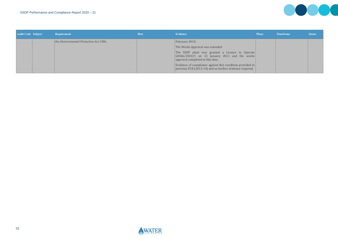

| <b>Audit Code Subject</b> | <b>Requirement</b>                     | How | <b>Evidence</b>                                                                                                                         | <b>Phase</b> | <b>Timeframe</b> | <b>Status</b> |
|---------------------------|----------------------------------------|-----|-----------------------------------------------------------------------------------------------------------------------------------------|--------------|------------------|---------------|
|                           | the Environmental Protection Act 1986. |     | February 2010.                                                                                                                          |              |                  |               |
|                           |                                        |     | The Works Approval was extended                                                                                                         |              |                  |               |
|                           |                                        |     | The SSDP plant was granted a Licence to Operate<br>$ L8466/2010/1$ on 13 January 2011 and the works<br>approval completed at this time. |              |                  |               |
|                           |                                        |     | Evidence of compliance against this condition provided in<br>previous PCR (2013-14) and no further evidence required.                   |              |                  |               |